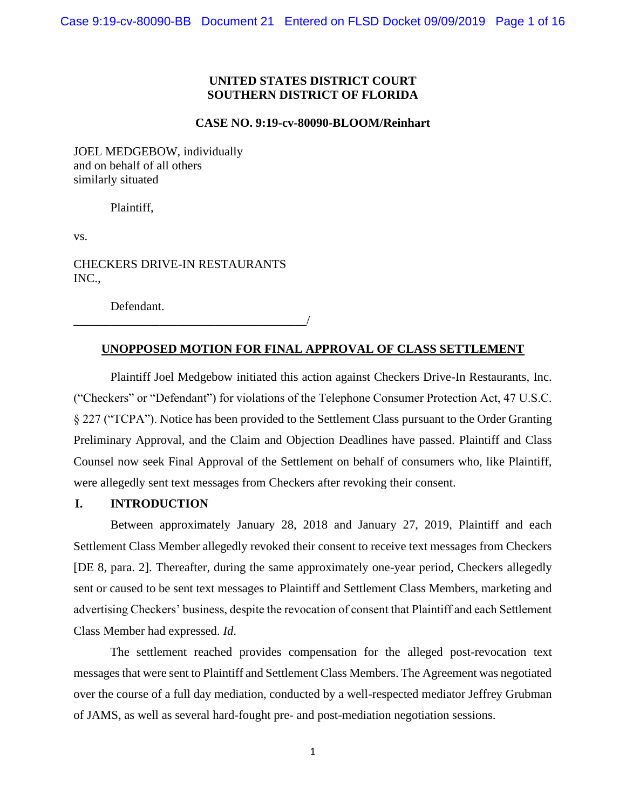# **UNITED STATES DISTRICT COURT SOUTHERN DISTRICT OF FLORIDA**

#### **CASE NO. 9:19-cv-80090-BLOOM/Reinhart**

JOEL MEDGEBOW, individually and on behalf of all others similarly situated

Plaintiff,

vs.

CHECKERS DRIVE-IN RESTAURANTS INC.,

Defendant.

\_\_\_\_\_\_\_\_\_\_\_\_\_\_\_\_\_\_\_\_\_\_\_\_\_\_\_\_\_\_\_\_\_\_\_\_\_\_/

# **UNOPPOSED MOTION FOR FINAL APPROVAL OF CLASS SETTLEMENT**

Plaintiff Joel Medgebow initiated this action against Checkers Drive-In Restaurants, Inc. ("Checkers" or "Defendant") for violations of the Telephone Consumer Protection Act, 47 U.S.C. § 227 ("TCPA"). Notice has been provided to the Settlement Class pursuant to the Order Granting Preliminary Approval, and the Claim and Objection Deadlines have passed. Plaintiff and Class Counsel now seek Final Approval of the Settlement on behalf of consumers who, like Plaintiff, were allegedly sent text messages from Checkers after revoking their consent.

# **I. INTRODUCTION**

Between approximately January 28, 2018 and January 27, 2019, Plaintiff and each Settlement Class Member allegedly revoked their consent to receive text messages from Checkers [DE 8, para. 2]. Thereafter, during the same approximately one-year period, Checkers allegedly sent or caused to be sent text messages to Plaintiff and Settlement Class Members, marketing and advertising Checkers' business, despite the revocation of consent that Plaintiff and each Settlement Class Member had expressed. *Id*.

The settlement reached provides compensation for the alleged post-revocation text messages that were sent to Plaintiff and Settlement Class Members. The Agreement was negotiated over the course of a full day mediation, conducted by a well-respected mediator Jeffrey Grubman of JAMS, as well as several hard-fought pre- and post-mediation negotiation sessions.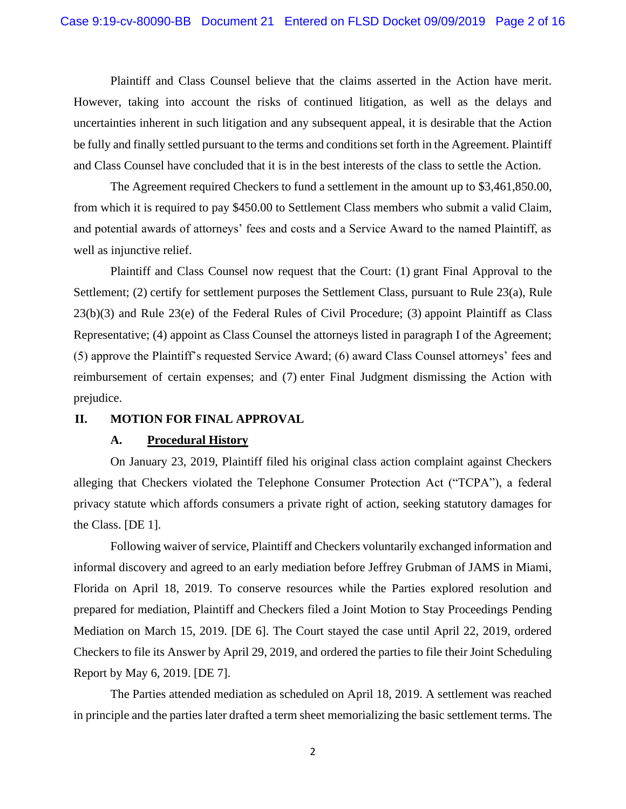Plaintiff and Class Counsel believe that the claims asserted in the Action have merit. However, taking into account the risks of continued litigation, as well as the delays and uncertainties inherent in such litigation and any subsequent appeal, it is desirable that the Action be fully and finally settled pursuant to the terms and conditions set forth in the Agreement. Plaintiff and Class Counsel have concluded that it is in the best interests of the class to settle the Action.

The Agreement required Checkers to fund a settlement in the amount up to \$3,461,850.00, from which it is required to pay \$450.00 to Settlement Class members who submit a valid Claim, and potential awards of attorneys' fees and costs and a Service Award to the named Plaintiff, as well as injunctive relief.

Plaintiff and Class Counsel now request that the Court: (1) grant Final Approval to the Settlement; (2) certify for settlement purposes the Settlement Class, pursuant to Rule 23(a), Rule 23(b)(3) and Rule 23(e) of the Federal Rules of Civil Procedure; (3) appoint Plaintiff as Class Representative; (4) appoint as Class Counsel the attorneys listed in paragraph I of the Agreement; (5) approve the Plaintiff's requested Service Award; (6) award Class Counsel attorneys' fees and reimbursement of certain expenses; and (7) enter Final Judgment dismissing the Action with prejudice.

### **II. MOTION FOR FINAL APPROVAL**

# **A. Procedural History**

On January 23, 2019, Plaintiff filed his original class action complaint against Checkers alleging that Checkers violated the Telephone Consumer Protection Act ("TCPA"), a federal privacy statute which affords consumers a private right of action, seeking statutory damages for the Class. [DE 1].

Following waiver of service, Plaintiff and Checkers voluntarily exchanged information and informal discovery and agreed to an early mediation before Jeffrey Grubman of JAMS in Miami, Florida on April 18, 2019. To conserve resources while the Parties explored resolution and prepared for mediation, Plaintiff and Checkers filed a Joint Motion to Stay Proceedings Pending Mediation on March 15, 2019. [DE 6]. The Court stayed the case until April 22, 2019, ordered Checkers to file its Answer by April 29, 2019, and ordered the parties to file their Joint Scheduling Report by May 6, 2019. [DE 7].

The Parties attended mediation as scheduled on April 18, 2019. A settlement was reached in principle and the parties later drafted a term sheet memorializing the basic settlement terms. The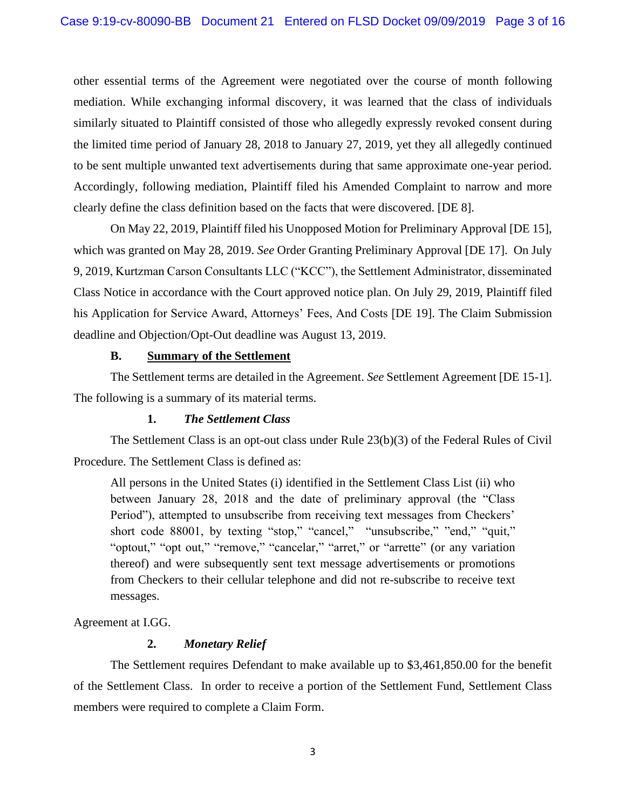other essential terms of the Agreement were negotiated over the course of month following mediation. While exchanging informal discovery, it was learned that the class of individuals similarly situated to Plaintiff consisted of those who allegedly expressly revoked consent during the limited time period of January 28, 2018 to January 27, 2019, yet they all allegedly continued to be sent multiple unwanted text advertisements during that same approximate one-year period. Accordingly, following mediation, Plaintiff filed his Amended Complaint to narrow and more clearly define the class definition based on the facts that were discovered. [DE 8].

On May 22, 2019, Plaintiff filed his Unopposed Motion for Preliminary Approval [DE 15], which was granted on May 28, 2019. *See* Order Granting Preliminary Approval [DE 17]. On July 9, 2019, Kurtzman Carson Consultants LLC ("KCC"), the Settlement Administrator, disseminated Class Notice in accordance with the Court approved notice plan. On July 29, 2019, Plaintiff filed his Application for Service Award, Attorneys' Fees, And Costs [DE 19]. The Claim Submission deadline and Objection/Opt-Out deadline was August 13, 2019.

# **B. Summary of the Settlement**

The Settlement terms are detailed in the Agreement. *See* Settlement Agreement [DE 15-1]. The following is a summary of its material terms.

# **1.** *The Settlement Class*

The Settlement Class is an opt-out class under Rule 23(b)(3) of the Federal Rules of Civil Procedure. The Settlement Class is defined as:

All persons in the United States (i) identified in the Settlement Class List (ii) who between January 28, 2018 and the date of preliminary approval (the "Class Period"), attempted to unsubscribe from receiving text messages from Checkers' short code 88001, by texting "stop," "cancel," "unsubscribe," "end," "quit," "optout," "opt out," "remove," "cancelar," "arret," or "arrette" (or any variation thereof) and were subsequently sent text message advertisements or promotions from Checkers to their cellular telephone and did not re-subscribe to receive text messages.

Agreement at I.GG.

# **2.** *Monetary Relief*

The Settlement requires Defendant to make available up to \$3,461,850.00 for the benefit of the Settlement Class. In order to receive a portion of the Settlement Fund, Settlement Class members were required to complete a Claim Form.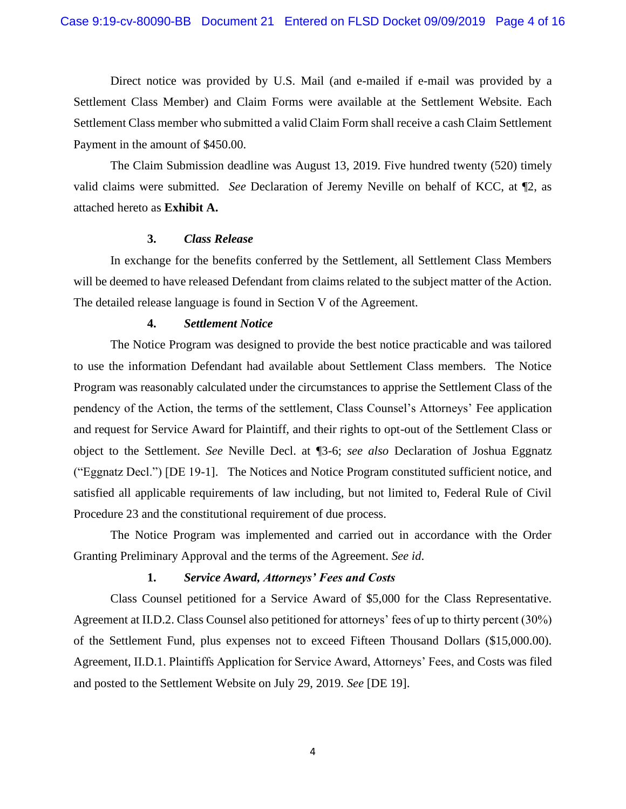Direct notice was provided by U.S. Mail (and e-mailed if e-mail was provided by a Settlement Class Member) and Claim Forms were available at the Settlement Website. Each Settlement Class member who submitted a valid Claim Form shall receive a cash Claim Settlement Payment in the amount of \$450.00.

The Claim Submission deadline was August 13, 2019. Five hundred twenty (520) timely valid claims were submitted. *See* Declaration of Jeremy Neville on behalf of KCC, at ¶2, as attached hereto as **Exhibit A.**

#### **3.** *Class Release*

In exchange for the benefits conferred by the Settlement, all Settlement Class Members will be deemed to have released Defendant from claims related to the subject matter of the Action. The detailed release language is found in Section V of the Agreement.

# **4.** *Settlement Notice*

The Notice Program was designed to provide the best notice practicable and was tailored to use the information Defendant had available about Settlement Class members. The Notice Program was reasonably calculated under the circumstances to apprise the Settlement Class of the pendency of the Action, the terms of the settlement, Class Counsel's Attorneys' Fee application and request for Service Award for Plaintiff, and their rights to opt-out of the Settlement Class or object to the Settlement. *See* Neville Decl. at ¶3-6; *see also* Declaration of Joshua Eggnatz ("Eggnatz Decl.") [DE 19-1]. The Notices and Notice Program constituted sufficient notice, and satisfied all applicable requirements of law including, but not limited to, Federal Rule of Civil Procedure 23 and the constitutional requirement of due process.

The Notice Program was implemented and carried out in accordance with the Order Granting Preliminary Approval and the terms of the Agreement. *See id*.

# **1.** *Service Award, Attorneys' Fees and Costs*

Class Counsel petitioned for a Service Award of \$5,000 for the Class Representative. Agreement at II.D.2. Class Counsel also petitioned for attorneys' fees of up to thirty percent (30%) of the Settlement Fund, plus expenses not to exceed Fifteen Thousand Dollars (\$15,000.00). Agreement, II.D.1. Plaintiffs Application for Service Award, Attorneys' Fees, and Costs was filed and posted to the Settlement Website on July 29, 2019. *See* [DE 19].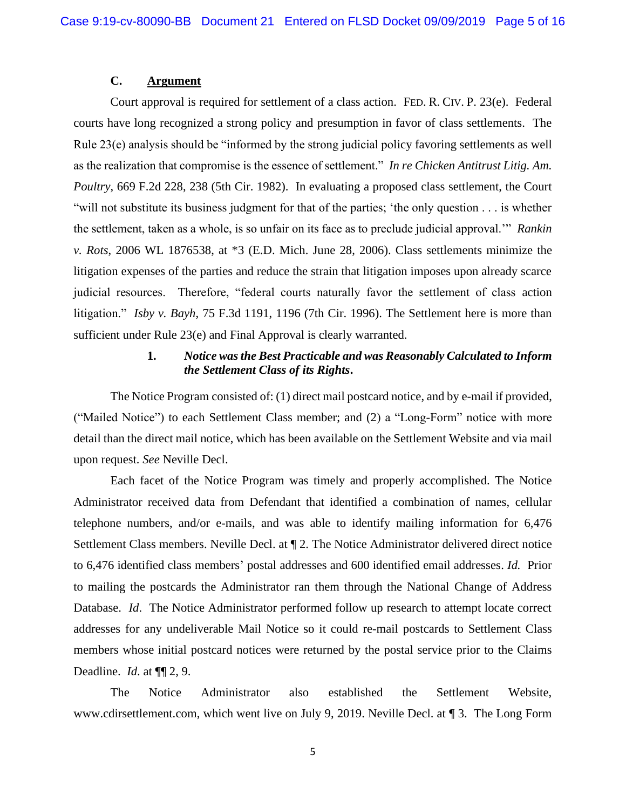# **C. Argument**

Court approval is required for settlement of a class action. FED. R. CIV. P. 23(e). Federal courts have long recognized a strong policy and presumption in favor of class settlements. The Rule 23(e) analysis should be "informed by the strong judicial policy favoring settlements as well as the realization that compromise is the essence of settlement." *In re Chicken Antitrust Litig. Am. Poultry*, 669 F.2d 228, 238 (5th Cir. 1982). In evaluating a proposed class settlement, the Court "will not substitute its business judgment for that of the parties; 'the only question . . . is whether the settlement, taken as a whole, is so unfair on its face as to preclude judicial approval.'" *Rankin v. Rots*, 2006 WL 1876538, at \*3 (E.D. Mich. June 28, 2006). Class settlements minimize the litigation expenses of the parties and reduce the strain that litigation imposes upon already scarce judicial resources. Therefore, "federal courts naturally favor the settlement of class action litigation." *Isby v. Bayh*, 75 F.3d 1191, 1196 (7th Cir. 1996). The Settlement here is more than sufficient under Rule 23(e) and Final Approval is clearly warranted.

# **1.** *Notice was the Best Practicable and was Reasonably Calculated to Inform the Settlement Class of its Rights***.**

The Notice Program consisted of: (1) direct mail postcard notice, and by e-mail if provided, ("Mailed Notice") to each Settlement Class member; and (2) a "Long-Form" notice with more detail than the direct mail notice, which has been available on the Settlement Website and via mail upon request. *See* Neville Decl.

Each facet of the Notice Program was timely and properly accomplished. The Notice Administrator received data from Defendant that identified a combination of names, cellular telephone numbers, and/or e-mails, and was able to identify mailing information for 6,476 Settlement Class members. Neville Decl. at ¶ 2. The Notice Administrator delivered direct notice to 6,476 identified class members' postal addresses and 600 identified email addresses. *Id.* Prior to mailing the postcards the Administrator ran them through the National Change of Address Database. *Id*. The Notice Administrator performed follow up research to attempt locate correct addresses for any undeliverable Mail Notice so it could re-mail postcards to Settlement Class members whose initial postcard notices were returned by the postal service prior to the Claims Deadline. *Id*. at ¶¶ 2, 9.

The Notice Administrator also established the Settlement Website, www.cdirsettlement.com, which went live on July 9, 2019. Neville Decl. at ¶ 3. The Long Form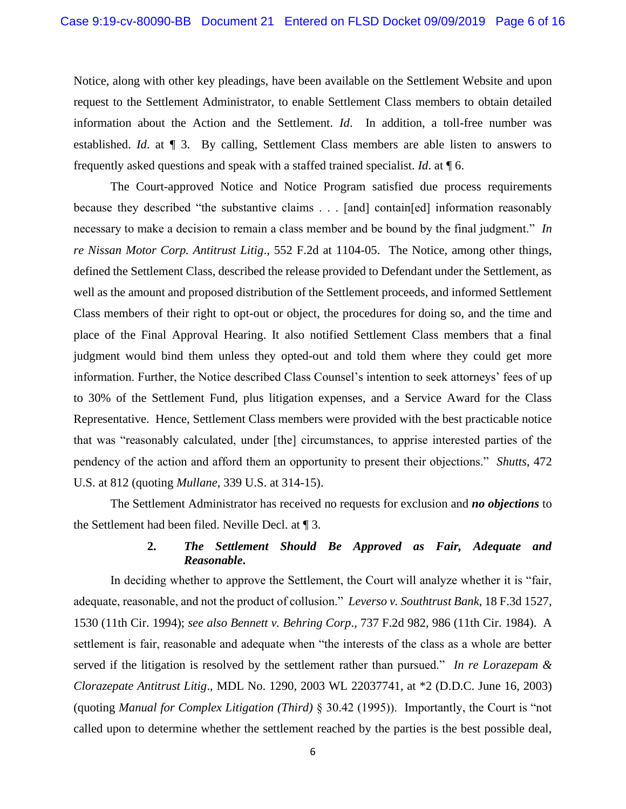Notice, along with other key pleadings, have been available on the Settlement Website and upon request to the Settlement Administrator, to enable Settlement Class members to obtain detailed information about the Action and the Settlement. *Id*. In addition, a toll-free number was established. *Id*. at ¶ 3. By calling, Settlement Class members are able listen to answers to frequently asked questions and speak with a staffed trained specialist. *Id*. at ¶ 6.

The Court-approved Notice and Notice Program satisfied due process requirements because they described "the substantive claims . . . [and] contain[ed] information reasonably necessary to make a decision to remain a class member and be bound by the final judgment." *In re Nissan Motor Corp. Antitrust Litig*., 552 F.2d at 1104-05. The Notice, among other things, defined the Settlement Class, described the release provided to Defendant under the Settlement, as well as the amount and proposed distribution of the Settlement proceeds, and informed Settlement Class members of their right to opt-out or object, the procedures for doing so, and the time and place of the Final Approval Hearing. It also notified Settlement Class members that a final judgment would bind them unless they opted-out and told them where they could get more information. Further, the Notice described Class Counsel's intention to seek attorneys' fees of up to 30% of the Settlement Fund, plus litigation expenses, and a Service Award for the Class Representative. Hence, Settlement Class members were provided with the best practicable notice that was "reasonably calculated, under [the] circumstances, to apprise interested parties of the pendency of the action and afford them an opportunity to present their objections." *Shutts*, 472 U.S. at 812 (quoting *Mullane*, 339 U.S. at 314-15).

The Settlement Administrator has received no requests for exclusion and *no objections* to the Settlement had been filed. Neville Decl. at ¶ 3.

# **2.** *The Settlement Should Be Approved as Fair, Adequate and Reasonable***.**

In deciding whether to approve the Settlement, the Court will analyze whether it is "fair, adequate, reasonable, and not the product of collusion." *Leverso v. Southtrust Bank*, 18 F.3d 1527, 1530 (11th Cir. 1994); *see also Bennett v. Behring Corp*., 737 F.2d 982, 986 (11th Cir. 1984). A settlement is fair, reasonable and adequate when "the interests of the class as a whole are better served if the litigation is resolved by the settlement rather than pursued." *In re Lorazepam & Clorazepate Antitrust Litig*., MDL No. 1290, 2003 WL 22037741, at \*2 (D.D.C. June 16, 2003) (quoting *Manual for Complex Litigation (Third)* § 30.42 (1995)). Importantly, the Court is "not called upon to determine whether the settlement reached by the parties is the best possible deal,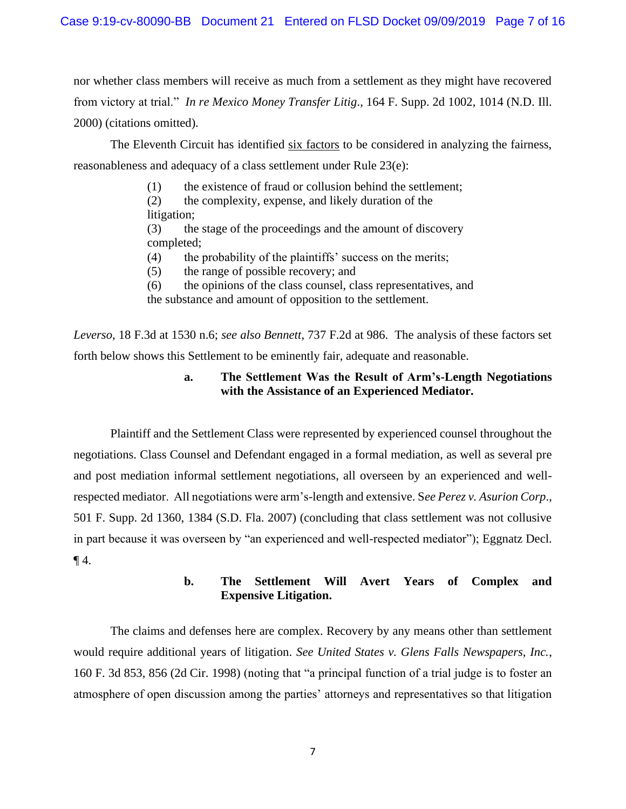nor whether class members will receive as much from a settlement as they might have recovered from victory at trial." *In re Mexico Money Transfer Litig*., 164 F. Supp. 2d 1002, 1014 (N.D. Ill. 2000) (citations omitted).

The Eleventh Circuit has identified six factors to be considered in analyzing the fairness, reasonableness and adequacy of a class settlement under Rule 23(e):

- (1) the existence of fraud or collusion behind the settlement;
- (2) the complexity, expense, and likely duration of the
- litigation;

(3) the stage of the proceedings and the amount of discovery completed;

- (4) the probability of the plaintiffs' success on the merits;
- (5) the range of possible recovery; and
- (6) the opinions of the class counsel, class representatives, and

the substance and amount of opposition to the settlement.

*Leverso*, 18 F.3d at 1530 n.6; *see also Bennett*, 737 F.2d at 986. The analysis of these factors set forth below shows this Settlement to be eminently fair, adequate and reasonable.

# **a. The Settlement Was the Result of Arm's-Length Negotiations with the Assistance of an Experienced Mediator.**

Plaintiff and the Settlement Class were represented by experienced counsel throughout the negotiations. Class Counsel and Defendant engaged in a formal mediation, as well as several pre and post mediation informal settlement negotiations, all overseen by an experienced and wellrespected mediator. All negotiations were arm's-length and extensive. S*ee Perez v. Asurion Corp*., 501 F. Supp. 2d 1360, 1384 (S.D. Fla. 2007) (concluding that class settlement was not collusive in part because it was overseen by "an experienced and well-respected mediator"); Eggnatz Decl.  $\P$ 4.

# **b. The Settlement Will Avert Years of Complex and Expensive Litigation.**

The claims and defenses here are complex. Recovery by any means other than settlement would require additional years of litigation. *See United States v. Glens Falls Newspapers, Inc.*, 160 F. 3d 853, 856 (2d Cir. 1998) (noting that "a principal function of a trial judge is to foster an atmosphere of open discussion among the parties' attorneys and representatives so that litigation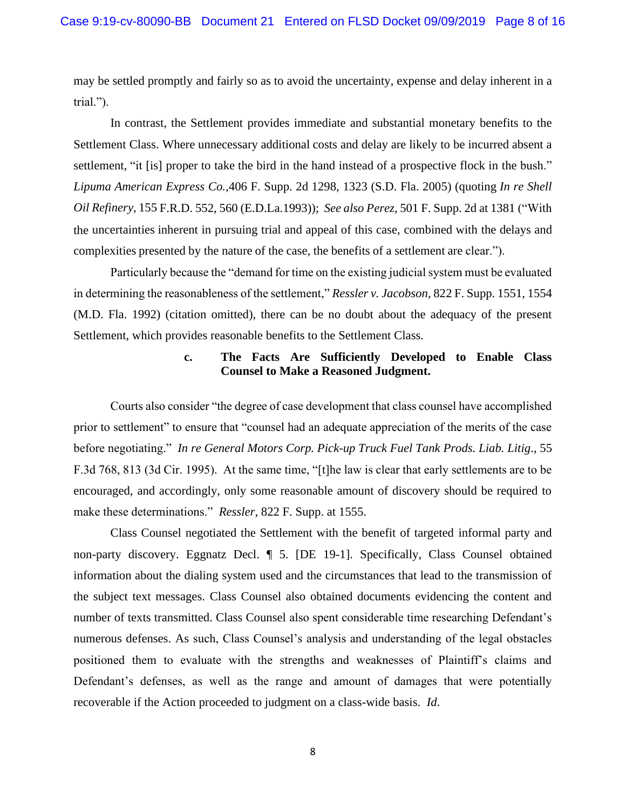may be settled promptly and fairly so as to avoid the uncertainty, expense and delay inherent in a trial.").

In contrast, the Settlement provides immediate and substantial monetary benefits to the Settlement Class. Where unnecessary additional costs and delay are likely to be incurred absent a settlement, "it [is] proper to take the bird in the hand instead of a prospective flock in the bush." *Lipuma American Express Co.,*406 F. Supp. 2d 1298, 1323 (S.D. Fla. 2005) (quoting *In re Shell Oil Refinery,* 155 F.R.D. 552, 560 (E.D.La.1993)); *See also Perez*, 501 F. Supp. 2d at 1381 ("With the uncertainties inherent in pursuing trial and appeal of this case, combined with the delays and complexities presented by the nature of the case, the benefits of a settlement are clear.").

Particularly because the "demand for time on the existing judicial system must be evaluated in determining the reasonableness of the settlement," *Ressler v. Jacobson*, 822 F. Supp. 1551, 1554 (M.D. Fla. 1992) (citation omitted), there can be no doubt about the adequacy of the present Settlement, which provides reasonable benefits to the Settlement Class.

# **c. The Facts Are Sufficiently Developed to Enable Class Counsel to Make a Reasoned Judgment.**

Courts also consider "the degree of case development that class counsel have accomplished prior to settlement" to ensure that "counsel had an adequate appreciation of the merits of the case before negotiating." *In re General Motors Corp. Pick-up Truck Fuel Tank Prods. Liab. Litig*., 55 F.3d 768, 813 (3d Cir. 1995). At the same time, "[t]he law is clear that early settlements are to be encouraged, and accordingly, only some reasonable amount of discovery should be required to make these determinations." *Ressler*, 822 F. Supp. at 1555.

Class Counsel negotiated the Settlement with the benefit of targeted informal party and non-party discovery. Eggnatz Decl. ¶ 5. [DE 19-1]. Specifically, Class Counsel obtained information about the dialing system used and the circumstances that lead to the transmission of the subject text messages. Class Counsel also obtained documents evidencing the content and number of texts transmitted. Class Counsel also spent considerable time researching Defendant's numerous defenses. As such, Class Counsel's analysis and understanding of the legal obstacles positioned them to evaluate with the strengths and weaknesses of Plaintiff's claims and Defendant's defenses, as well as the range and amount of damages that were potentially recoverable if the Action proceeded to judgment on a class-wide basis. *Id*.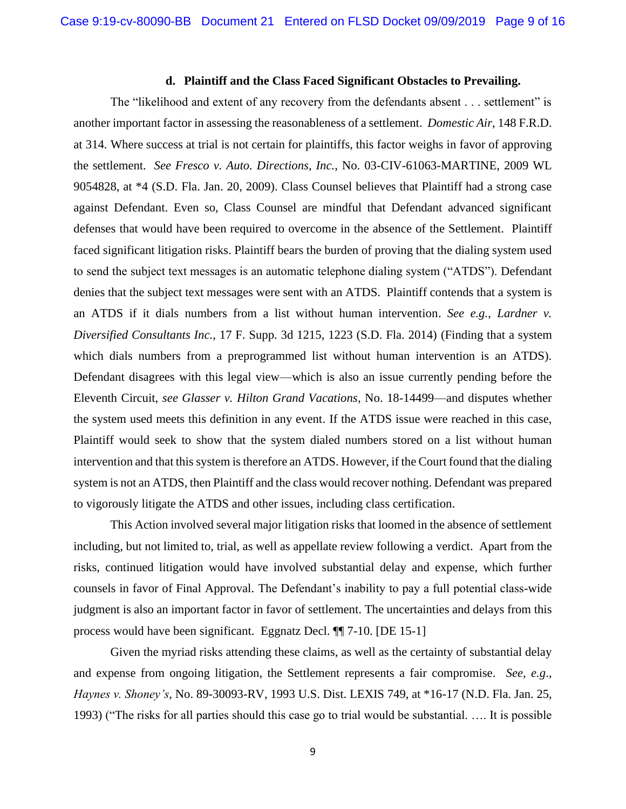# **d. Plaintiff and the Class Faced Significant Obstacles to Prevailing.**

The "likelihood and extent of any recovery from the defendants absent . . . settlement" is another important factor in assessing the reasonableness of a settlement. *Domestic Air*, 148 F.R.D. at 314. Where success at trial is not certain for plaintiffs, this factor weighs in favor of approving the settlement. *See Fresco v. Auto. Directions, Inc.*, No. 03-CIV-61063-MARTINE, 2009 WL 9054828, at \*4 (S.D. Fla. Jan. 20, 2009). Class Counsel believes that Plaintiff had a strong case against Defendant. Even so, Class Counsel are mindful that Defendant advanced significant defenses that would have been required to overcome in the absence of the Settlement. Plaintiff faced significant litigation risks. Plaintiff bears the burden of proving that the dialing system used to send the subject text messages is an automatic telephone dialing system ("ATDS"). Defendant denies that the subject text messages were sent with an ATDS. Plaintiff contends that a system is an ATDS if it dials numbers from a list without human intervention. *See e.g.*, *Lardner v. Diversified Consultants Inc.*, 17 F. Supp. 3d 1215, 1223 (S.D. Fla. 2014) (Finding that a system which dials numbers from a preprogrammed list without human intervention is an ATDS). Defendant disagrees with this legal view—which is also an issue currently pending before the Eleventh Circuit, *see Glasser v. Hilton Grand Vacations*, No. 18-14499—and disputes whether the system used meets this definition in any event. If the ATDS issue were reached in this case, Plaintiff would seek to show that the system dialed numbers stored on a list without human intervention and that this system is therefore an ATDS. However, if the Court found that the dialing system is not an ATDS, then Plaintiff and the class would recover nothing. Defendant was prepared to vigorously litigate the ATDS and other issues, including class certification.

This Action involved several major litigation risks that loomed in the absence of settlement including, but not limited to, trial, as well as appellate review following a verdict. Apart from the risks, continued litigation would have involved substantial delay and expense, which further counsels in favor of Final Approval. The Defendant's inability to pay a full potential class-wide judgment is also an important factor in favor of settlement. The uncertainties and delays from this process would have been significant. Eggnatz Decl. ¶¶ 7-10. [DE 15-1]

Given the myriad risks attending these claims, as well as the certainty of substantial delay and expense from ongoing litigation, the Settlement represents a fair compromise. *See, e.g*., *Haynes v. Shoney's*, No. 89-30093-RV, 1993 U.S. Dist. LEXIS 749, at \*16-17 (N.D. Fla. Jan. 25, 1993) ("The risks for all parties should this case go to trial would be substantial. …. It is possible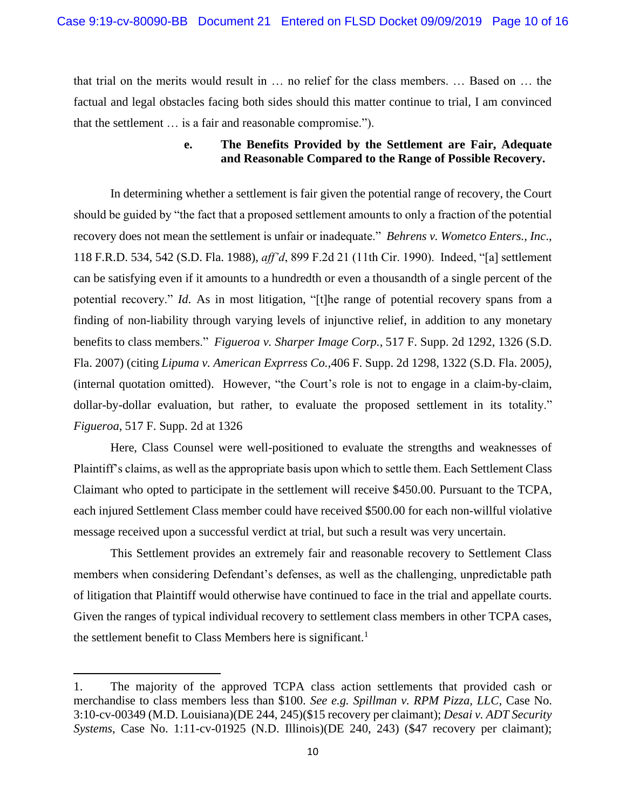that trial on the merits would result in … no relief for the class members. … Based on … the factual and legal obstacles facing both sides should this matter continue to trial, I am convinced that the settlement … is a fair and reasonable compromise.").

# **e. The Benefits Provided by the Settlement are Fair, Adequate and Reasonable Compared to the Range of Possible Recovery.**

In determining whether a settlement is fair given the potential range of recovery, the Court should be guided by "the fact that a proposed settlement amounts to only a fraction of the potential recovery does not mean the settlement is unfair or inadequate." *Behrens v. Wometco Enters., Inc*., 118 F.R.D. 534, 542 (S.D. Fla. 1988), *aff'd*, 899 F.2d 21 (11th Cir. 1990). Indeed, "[a] settlement can be satisfying even if it amounts to a hundredth or even a thousandth of a single percent of the potential recovery." *Id*. As in most litigation, "[t]he range of potential recovery spans from a finding of non-liability through varying levels of injunctive relief, in addition to any monetary benefits to class members." *Figueroa v. Sharper Image Corp.*, 517 F. Supp. 2d 1292, 1326 (S.D. Fla. 2007) (citing *Lipuma v. American Exprress Co.,*406 F. Supp. 2d 1298, 1322 (S.D. Fla. 2005*)*, (internal quotation omitted). However, "the Court's role is not to engage in a claim-by-claim, dollar-by-dollar evaluation, but rather, to evaluate the proposed settlement in its totality." *Figueroa*, 517 F. Supp. 2d at 1326

Here, Class Counsel were well-positioned to evaluate the strengths and weaknesses of Plaintiff's claims, as well as the appropriate basis upon which to settle them. Each Settlement Class Claimant who opted to participate in the settlement will receive \$450.00. Pursuant to the TCPA, each injured Settlement Class member could have received \$500.00 for each non-willful violative message received upon a successful verdict at trial, but such a result was very uncertain.

This Settlement provides an extremely fair and reasonable recovery to Settlement Class members when considering Defendant's defenses, as well as the challenging, unpredictable path of litigation that Plaintiff would otherwise have continued to face in the trial and appellate courts. Given the ranges of typical individual recovery to settlement class members in other TCPA cases, the settlement benefit to Class Members here is significant.<sup>1</sup>

<sup>1.</sup> The majority of the approved TCPA class action settlements that provided cash or merchandise to class members less than \$100. *See e.g. Spillman v. RPM Pizza, LLC*, Case No. 3:10-cv-00349 (M.D. Louisiana)(DE 244, 245)(\$15 recovery per claimant); *Desai v. ADT Security Systems*, Case No. 1:11-cv-01925 (N.D. Illinois)(DE 240, 243) (\$47 recovery per claimant);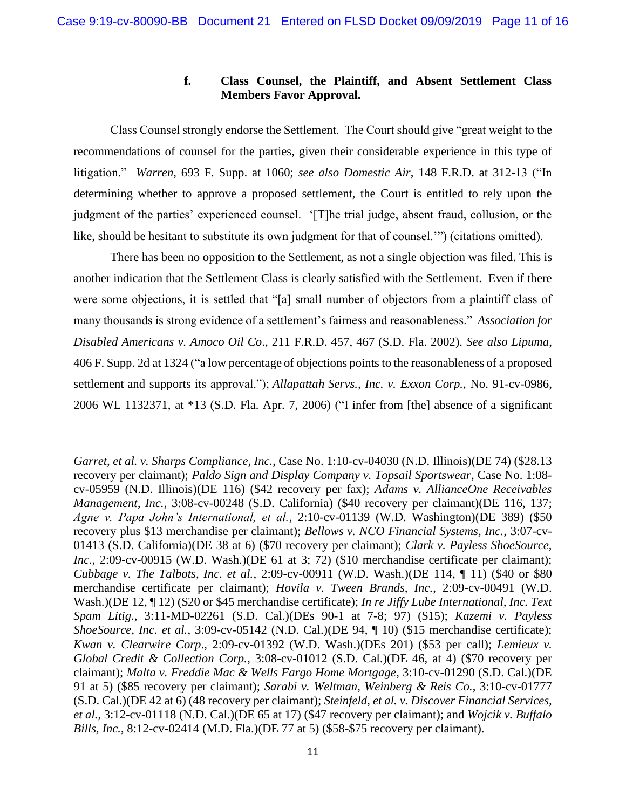# **f. Class Counsel, the Plaintiff, and Absent Settlement Class Members Favor Approval.**

Class Counsel strongly endorse the Settlement. The Court should give "great weight to the recommendations of counsel for the parties, given their considerable experience in this type of litigation." *Warren*, 693 F. Supp. at 1060; *see also Domestic Air*, 148 F.R.D. at 312-13 ("In determining whether to approve a proposed settlement, the Court is entitled to rely upon the judgment of the parties' experienced counsel. '[T]he trial judge, absent fraud, collusion, or the like, should be hesitant to substitute its own judgment for that of counsel.'") (citations omitted).

There has been no opposition to the Settlement, as not a single objection was filed. This is another indication that the Settlement Class is clearly satisfied with the Settlement. Even if there were some objections, it is settled that "[a] small number of objectors from a plaintiff class of many thousands is strong evidence of a settlement's fairness and reasonableness." *Association for Disabled Americans v. Amoco Oil Co*., 211 F.R.D. 457, 467 (S.D. Fla. 2002). *See also Lipuma*, 406 F. Supp. 2d at 1324 ("a low percentage of objections points to the reasonableness of a proposed settlement and supports its approval."); *Allapattah Servs., Inc. v. Exxon Corp.*, No. 91-cv-0986, 2006 WL 1132371, at \*13 (S.D. Fla. Apr. 7, 2006) ("I infer from [the] absence of a significant

*Garret, et al. v. Sharps Compliance, Inc.*, Case No. 1:10-cv-04030 (N.D. Illinois)(DE 74) (\$28.13 recovery per claimant); *Paldo Sign and Display Company v. Topsail Sportswear*, Case No. 1:08 cv-05959 (N.D. Illinois)(DE 116) (\$42 recovery per fax); *Adams v. AllianceOne Receivables Management, Inc.*, 3:08-cv-00248 (S.D. California) (\$40 recovery per claimant)(DE 116, 137; *Agne v. Papa John's International, et al.*, 2:10-cv-01139 (W.D. Washington)(DE 389) (\$50 recovery plus \$13 merchandise per claimant); *Bellows v. NCO Financial Systems, Inc.*, 3:07-cv-01413 (S.D. California)(DE 38 at 6) (\$70 recovery per claimant); *Clark v. Payless ShoeSource, Inc.*, 2:09-cv-00915 (W.D. Wash.)(DE 61 at 3; 72) (\$10 merchandise certificate per claimant); *Cubbage v. The Talbots, Inc. et al.*, 2:09-cv-00911 (W.D. Wash.)(DE 114, ¶ 11) (\$40 or \$80 merchandise certificate per claimant); *Hovila v. Tween Brands, Inc.*, 2:09-cv-00491 (W.D. Wash.)(DE 12, ¶ 12) (\$20 or \$45 merchandise certificate); *In re Jiffy Lube International, Inc. Text Spam Litig.*, 3:11-MD-02261 (S.D. Cal.)(DEs 90-1 at 7-8; 97) (\$15); *Kazemi v. Payless ShoeSource, Inc. et al.*, 3:09-cv-05142 (N.D. Cal.)(DE 94, ¶ 10) (\$15 merchandise certificate); *Kwan v. Clearwire Corp*., 2:09-cv-01392 (W.D. Wash.)(DEs 201) (\$53 per call); *Lemieux v. Global Credit & Collection Corp.*, 3:08-cv-01012 (S.D. Cal.)(DE 46, at 4) (\$70 recovery per claimant); *Malta v. Freddie Mac & Wells Fargo Home Mortgage*, 3:10-cv-01290 (S.D. Cal.)(DE 91 at 5) (\$85 recovery per claimant); *Sarabi v. Weltman, Weinberg & Reis Co.*, 3:10-cv-01777 (S.D. Cal.)(DE 42 at 6) (48 recovery per claimant); *Steinfeld, et al. v. Discover Financial Services, et al.*, 3:12-cv-01118 (N.D. Cal.)(DE 65 at 17) (\$47 recovery per claimant); and *Wojcik v. Buffalo Bills, Inc.*, 8:12-cv-02414 (M.D. Fla.)(DE 77 at 5) (\$58-\$75 recovery per claimant).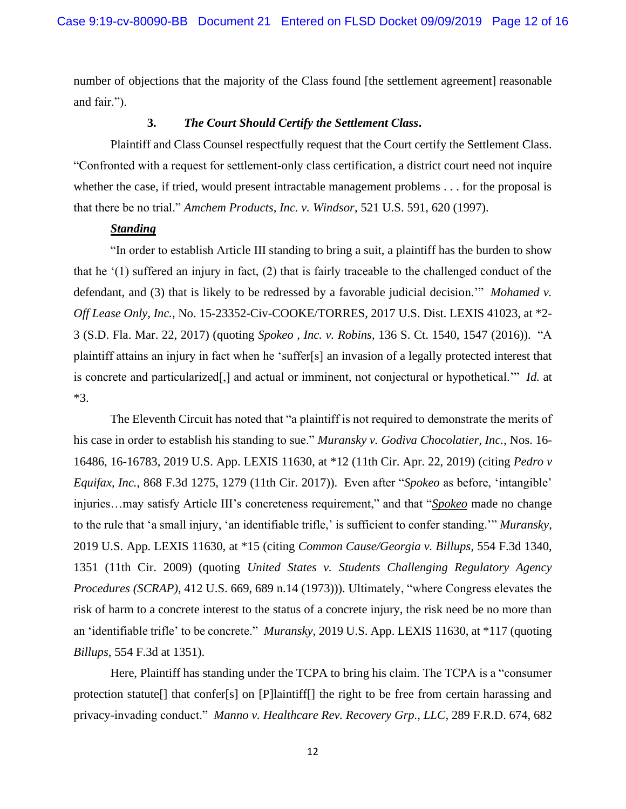number of objections that the majority of the Class found [the settlement agreement] reasonable and fair.").

# **3.** *The Court Should Certify the Settlement Class***.**

Plaintiff and Class Counsel respectfully request that the Court certify the Settlement Class. "Confronted with a request for settlement-only class certification, a district court need not inquire whether the case, if tried, would present intractable management problems . . . for the proposal is that there be no trial." *Amchem Products, Inc. v. Windsor*, 521 U.S. 591, 620 (1997).

# *Standing*

"In order to establish Article III standing to bring a suit, a plaintiff has the burden to show that he '(1) suffered an injury in fact, (2) that is fairly traceable to the challenged conduct of the defendant, and (3) that is likely to be redressed by a favorable judicial decision.'" *Mohamed v. Off Lease Only, Inc.*, No. 15-23352-Civ-COOKE/TORRES, 2017 U.S. Dist. LEXIS 41023, at \*2- 3 (S.D. Fla. Mar. 22, 2017) (quoting *Spokeo , Inc. v. Robins*, 136 S. Ct. 1540, 1547 (2016)). "A plaintiff attains an injury in fact when he 'suffer[s] an invasion of a legally protected interest that is concrete and particularized[,] and actual or imminent, not conjectural or hypothetical.'" *Id.* at \*3.

The Eleventh Circuit has noted that "a plaintiff is not required to demonstrate the merits of his case in order to establish his standing to sue." *Muransky v. Godiva Chocolatier, Inc.*, Nos. 16- 16486, 16-16783, 2019 U.S. App. LEXIS 11630, at \*12 (11th Cir. Apr. 22, 2019) (citing *Pedro v Equifax, Inc.*, 868 F.3d 1275, 1279 (11th Cir. 2017)). Even after "*Spokeo* as before, 'intangible' injuries…may satisfy Article III's concreteness requirement," and that "*Spokeo* made no change to the rule that 'a small injury, 'an identifiable trifle,' is sufficient to confer standing.'" *Muransky*, 2019 U.S. App. LEXIS 11630, at \*15 (citing *Common Cause/Georgia v. Billups*, 554 F.3d 1340, 1351 (11th Cir. 2009) (quoting *United States v. Students Challenging Regulatory Agency Procedures (SCRAP)*, 412 U.S. 669, 689 n.14 (1973))). Ultimately, "where Congress elevates the risk of harm to a concrete interest to the status of a concrete injury, the risk need be no more than an 'identifiable trifle' to be concrete." *Muransky*, 2019 U.S. App. LEXIS 11630, at \*117 (quoting *Billups*, 554 F.3d at 1351).

Here, Plaintiff has standing under the TCPA to bring his claim. The TCPA is a "consumer protection statute[] that confer[s] on [P]laintiff[] the right to be free from certain harassing and privacy-invading conduct." *Manno v. Healthcare Rev. Recovery Grp., LLC*, 289 F.R.D. 674, 682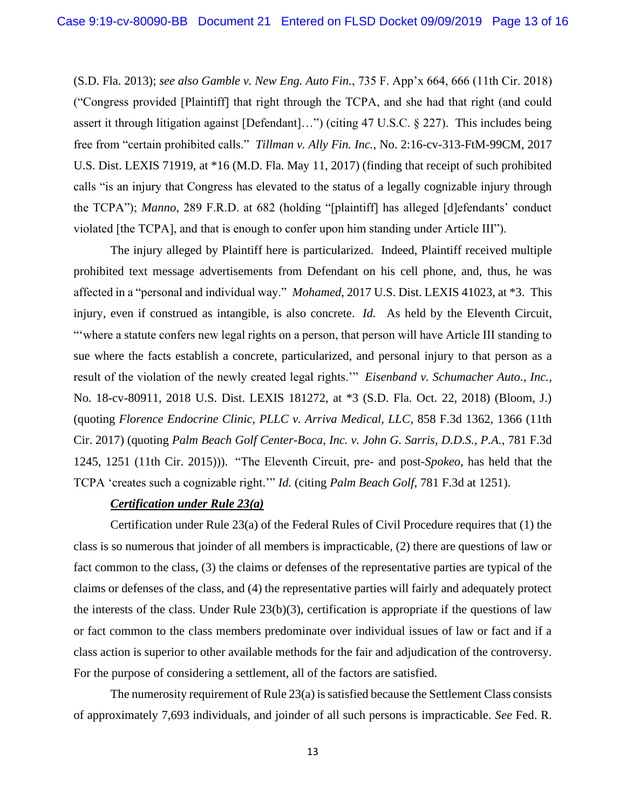(S.D. Fla. 2013); *see also Gamble v. New Eng. Auto Fin.*, 735 F. App'x 664, 666 (11th Cir. 2018) ("Congress provided [Plaintiff] that right through the TCPA, and she had that right (and could assert it through litigation against [Defendant]…") (citing 47 U.S.C. § 227). This includes being free from "certain prohibited calls." *Tillman v. Ally Fin. Inc.*, No. 2:16-cv-313-FtM-99CM, 2017 U.S. Dist. LEXIS 71919, at \*16 (M.D. Fla. May 11, 2017) (finding that receipt of such prohibited calls "is an injury that Congress has elevated to the status of a legally cognizable injury through the TCPA"); *Manno*, 289 F.R.D. at 682 (holding "[plaintiff] has alleged [d]efendants' conduct violated [the TCPA], and that is enough to confer upon him standing under Article III").

The injury alleged by Plaintiff here is particularized. Indeed, Plaintiff received multiple prohibited text message advertisements from Defendant on his cell phone, and, thus, he was affected in a "personal and individual way." *Mohamed*, 2017 U.S. Dist. LEXIS 41023, at \*3. This injury, even if construed as intangible, is also concrete. *Id.* As held by the Eleventh Circuit, "'where a statute confers new legal rights on a person, that person will have Article III standing to sue where the facts establish a concrete, particularized, and personal injury to that person as a result of the violation of the newly created legal rights.'" *Eisenband v. Schumacher Auto., Inc.*, No. 18-cv-80911, 2018 U.S. Dist. LEXIS 181272, at \*3 (S.D. Fla. Oct. 22, 2018) (Bloom, J.) (quoting *Florence Endocrine Clinic, PLLC v. Arriva Medical, LLC*, 858 F.3d 1362, 1366 (11th Cir. 2017) (quoting *Palm Beach Golf Center-Boca, Inc. v. John G. Sarris, D.D.S., P.A.*, 781 F.3d 1245, 1251 (11th Cir. 2015))). "The Eleventh Circuit, pre- and post-*Spokeo*, has held that the TCPA 'creates such a cognizable right.'" *Id.* (citing *Palm Beach Golf*, 781 F.3d at 1251).

# *Certification under Rule 23(a)*

Certification under Rule 23(a) of the Federal Rules of Civil Procedure requires that (1) the class is so numerous that joinder of all members is impracticable, (2) there are questions of law or fact common to the class, (3) the claims or defenses of the representative parties are typical of the claims or defenses of the class, and (4) the representative parties will fairly and adequately protect the interests of the class. Under Rule  $23(b)(3)$ , certification is appropriate if the questions of law or fact common to the class members predominate over individual issues of law or fact and if a class action is superior to other available methods for the fair and adjudication of the controversy. For the purpose of considering a settlement, all of the factors are satisfied.

The numerosity requirement of Rule 23(a) is satisfied because the Settlement Class consists of approximately 7,693 individuals, and joinder of all such persons is impracticable. *See* Fed. R.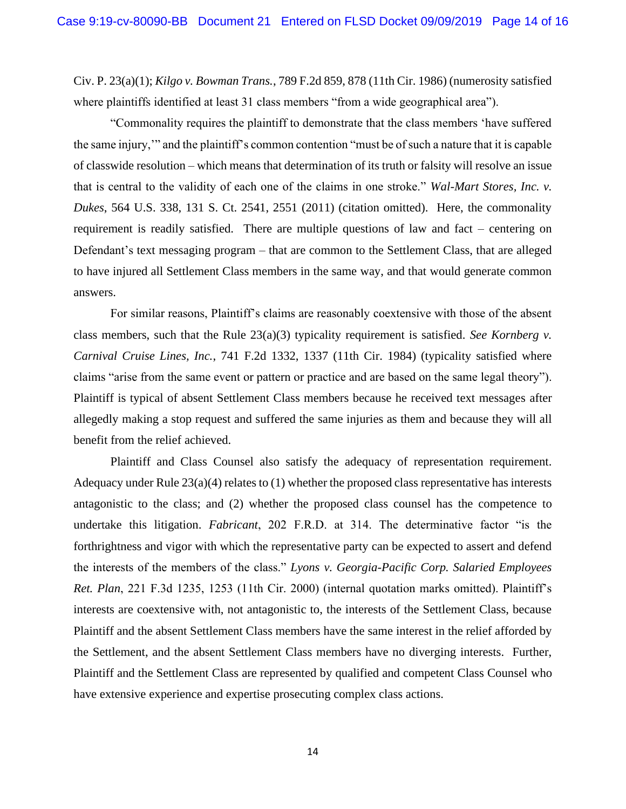Civ. P. 23(a)(1); *Kilgo v. Bowman Trans.*, 789 F.2d 859, 878 (11th Cir. 1986) (numerosity satisfied where plaintiffs identified at least 31 class members "from a wide geographical area").

"Commonality requires the plaintiff to demonstrate that the class members 'have suffered the same injury,'" and the plaintiff's common contention "must be of such a nature that it is capable of classwide resolution – which means that determination of its truth or falsity will resolve an issue that is central to the validity of each one of the claims in one stroke." *Wal-Mart Stores, Inc. v. Dukes*, 564 U.S. 338, 131 S. Ct. 2541, 2551 (2011) (citation omitted). Here, the commonality requirement is readily satisfied. There are multiple questions of law and fact – centering on Defendant's text messaging program – that are common to the Settlement Class, that are alleged to have injured all Settlement Class members in the same way, and that would generate common answers.

For similar reasons, Plaintiff's claims are reasonably coextensive with those of the absent class members, such that the Rule 23(a)(3) typicality requirement is satisfied. *See Kornberg v. Carnival Cruise Lines, Inc.*, 741 F.2d 1332, 1337 (11th Cir. 1984) (typicality satisfied where claims "arise from the same event or pattern or practice and are based on the same legal theory"). Plaintiff is typical of absent Settlement Class members because he received text messages after allegedly making a stop request and suffered the same injuries as them and because they will all benefit from the relief achieved.

Plaintiff and Class Counsel also satisfy the adequacy of representation requirement. Adequacy under Rule 23(a)(4) relates to (1) whether the proposed class representative has interests antagonistic to the class; and (2) whether the proposed class counsel has the competence to undertake this litigation. *Fabricant*, 202 F.R.D. at 314. The determinative factor "is the forthrightness and vigor with which the representative party can be expected to assert and defend the interests of the members of the class." *Lyons v. Georgia-Pacific Corp. Salaried Employees Ret. Plan*, 221 F.3d 1235, 1253 (11th Cir. 2000) (internal quotation marks omitted). Plaintiff's interests are coextensive with, not antagonistic to, the interests of the Settlement Class, because Plaintiff and the absent Settlement Class members have the same interest in the relief afforded by the Settlement, and the absent Settlement Class members have no diverging interests. Further, Plaintiff and the Settlement Class are represented by qualified and competent Class Counsel who have extensive experience and expertise prosecuting complex class actions.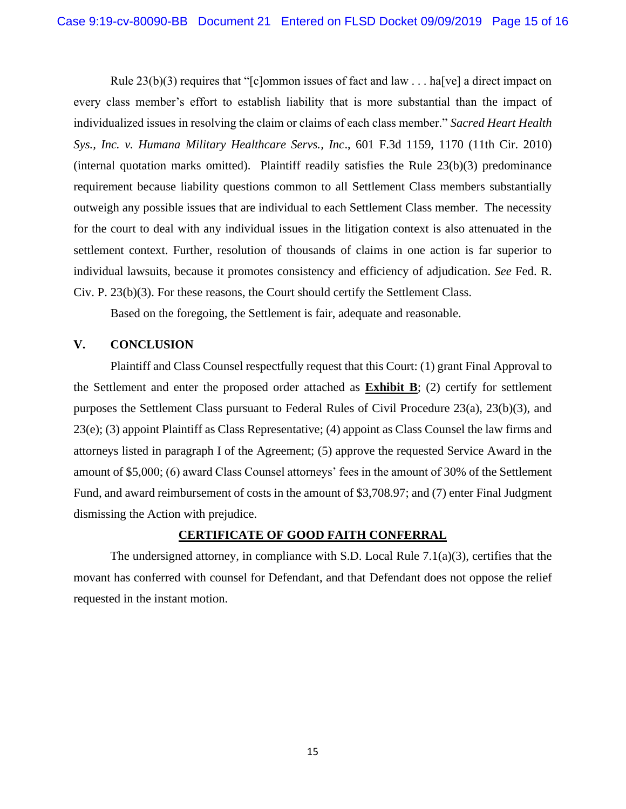Rule  $23(b)(3)$  requires that "[c]ommon issues of fact and law . . . ha[ve] a direct impact on every class member's effort to establish liability that is more substantial than the impact of individualized issues in resolving the claim or claims of each class member." *Sacred Heart Health Sys., Inc. v. Humana Military Healthcare Servs., Inc*., 601 F.3d 1159, 1170 (11th Cir. 2010) (internal quotation marks omitted). Plaintiff readily satisfies the Rule 23(b)(3) predominance requirement because liability questions common to all Settlement Class members substantially outweigh any possible issues that are individual to each Settlement Class member. The necessity for the court to deal with any individual issues in the litigation context is also attenuated in the settlement context. Further, resolution of thousands of claims in one action is far superior to individual lawsuits, because it promotes consistency and efficiency of adjudication. *See* Fed. R. Civ. P. 23(b)(3). For these reasons, the Court should certify the Settlement Class.

Based on the foregoing, the Settlement is fair, adequate and reasonable.

# **V. CONCLUSION**

Plaintiff and Class Counsel respectfully request that this Court: (1) grant Final Approval to the Settlement and enter the proposed order attached as **Exhibit B**; (2) certify for settlement purposes the Settlement Class pursuant to Federal Rules of Civil Procedure 23(a), 23(b)(3), and 23(e); (3) appoint Plaintiff as Class Representative; (4) appoint as Class Counsel the law firms and attorneys listed in paragraph I of the Agreement; (5) approve the requested Service Award in the amount of \$5,000; (6) award Class Counsel attorneys' fees in the amount of 30% of the Settlement Fund, and award reimbursement of costs in the amount of \$3,708.97; and (7) enter Final Judgment dismissing the Action with prejudice.

# **CERTIFICATE OF GOOD FAITH CONFERRAL**

The undersigned attorney, in compliance with S.D. Local Rule 7.1(a)(3), certifies that the movant has conferred with counsel for Defendant, and that Defendant does not oppose the relief requested in the instant motion.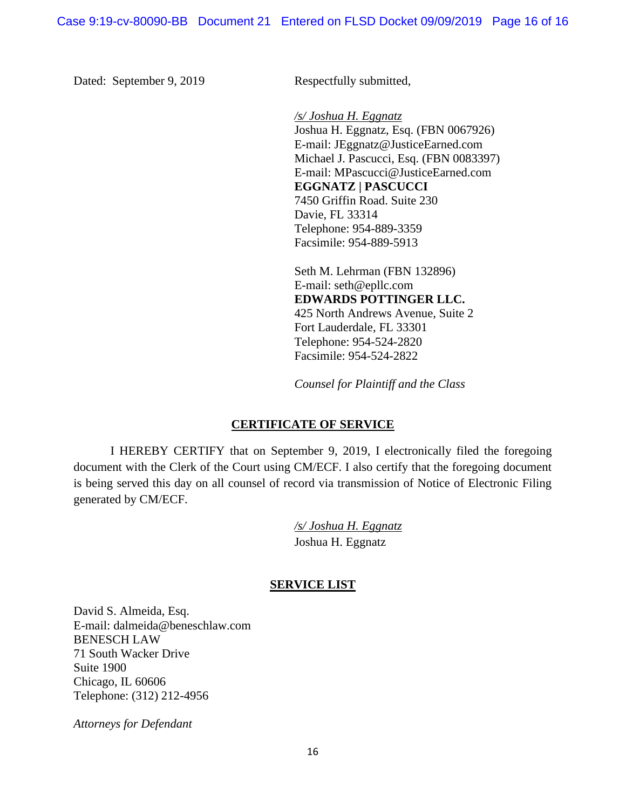Dated: September 9, 2019 Respectfully submitted,

*/s/ Joshua H. Eggnatz* Joshua H. Eggnatz, Esq. (FBN 0067926) E-mail: JEggnatz@JusticeEarned.com Michael J. Pascucci, Esq. (FBN 0083397) E-mail: MPascucci@JusticeEarned.com **EGGNATZ | PASCUCCI** 7450 Griffin Road. Suite 230 Davie, FL 33314 Telephone: 954-889-3359 Facsimile: 954-889-5913

Seth M. Lehrman (FBN 132896) E-mail: seth@epllc.com **EDWARDS POTTINGER LLC.** 425 North Andrews Avenue, Suite 2 Fort Lauderdale, FL 33301 Telephone: 954-524-2820 Facsimile: 954-524-2822

*Counsel for Plaintiff and the Class*

# **CERTIFICATE OF SERVICE**

I HEREBY CERTIFY that on September 9, 2019, I electronically filed the foregoing document with the Clerk of the Court using CM/ECF. I also certify that the foregoing document is being served this day on all counsel of record via transmission of Notice of Electronic Filing generated by CM/ECF.

> */s/ Joshua H. Eggnatz* Joshua H. Eggnatz

# **SERVICE LIST**

David S. Almeida, Esq. E-mail: dalmeida@beneschlaw.com BENESCH LAW 71 South Wacker Drive Suite 1900 Chicago, IL 60606 Telephone: (312) 212-4956

*Attorneys for Defendant*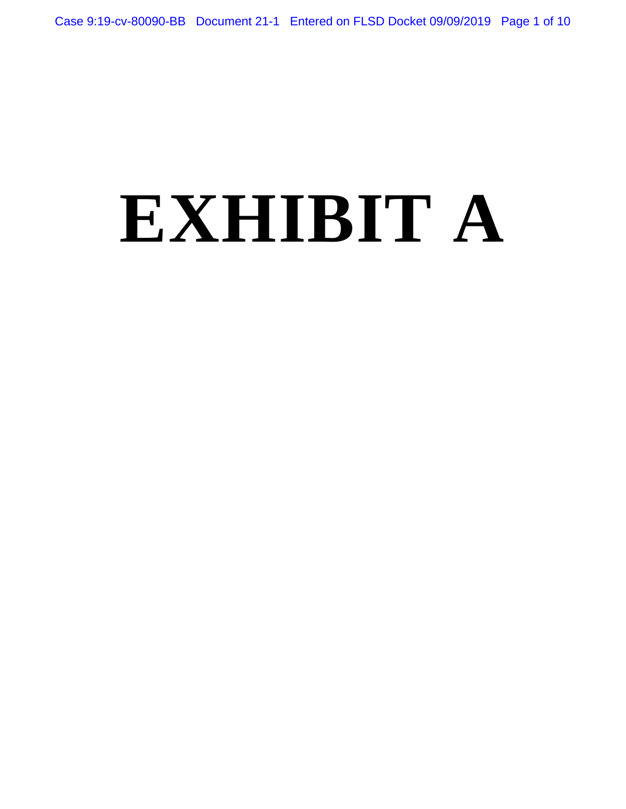# **EXHIBIT A**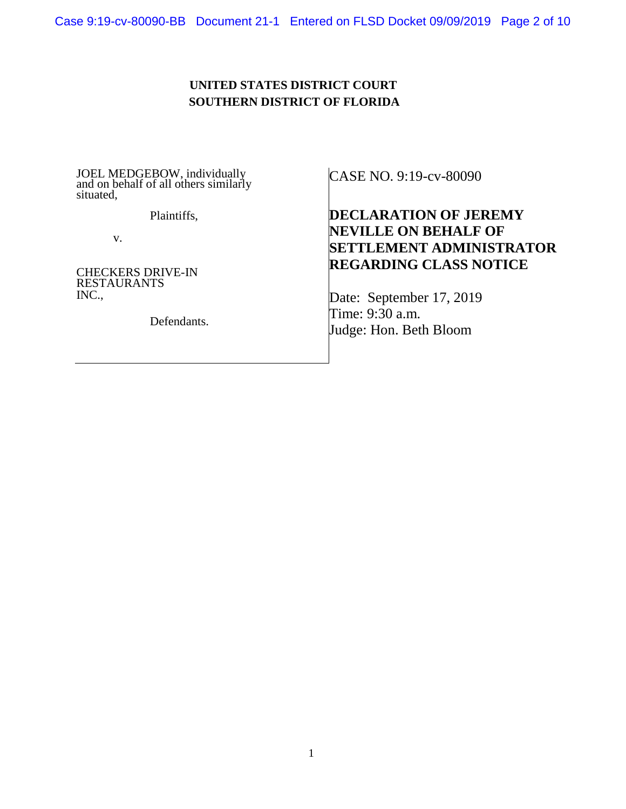# **UNITED STATES DISTRICT COURT SOUTHERN DISTRICT OF FLORIDA**

JOEL MEDGEBOW, individually and on behalf of all others similarly situated,

Plaintiffs,

v.

CHECKERS DRIVE-IN RESTAURANTS INC.,

Defendants.

CASE NO. 9:19-cv-80090

# **DECLARATION OF JEREMY NEVILLE ON BEHALF OF SETTLEMENT ADMINISTRATOR REGARDING CLASS NOTICE**

Date: September 17, 2019 Time: 9:30 a.m. Judge: Hon. Beth Bloom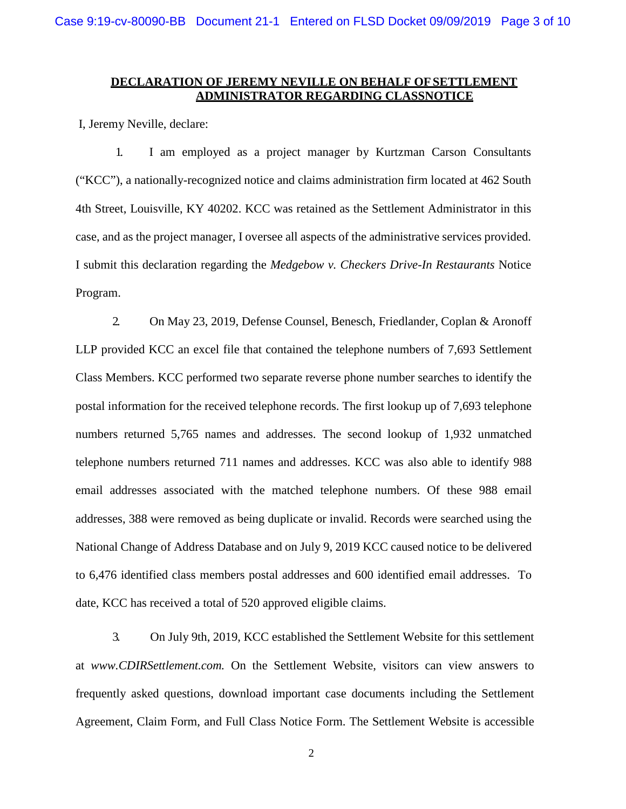# **DECLARATION OF JEREMY NEVILLE ON BEHALF OFSETTLEMENT ADMINISTRATOR REGARDING CLASSNOTICE**

I, Jeremy Neville, declare:

1. I am employed as a project manager by Kurtzman Carson Consultants ("KCC"), a nationally-recognized notice and claims administration firm located at 462 South 4th Street, Louisville, KY 40202. KCC was retained as the Settlement Administrator in this case, and as the project manager, I oversee all aspects of the administrative services provided. I submit this declaration regarding the *Medgebow v. Checkers Drive-In Restaurants* Notice Program.

2. On May 23, 2019, Defense Counsel, Benesch, Friedlander, Coplan & Aronoff LLP provided KCC an excel file that contained the telephone numbers of 7,693 Settlement Class Members. KCC performed two separate reverse phone number searches to identify the postal information for the received telephone records. The first lookup up of 7,693 telephone numbers returned 5,765 names and addresses. The second lookup of 1,932 unmatched telephone numbers returned 711 names and addresses. KCC was also able to identify 988 email addresses associated with the matched telephone numbers. Of these 988 email addresses, 388 were removed as being duplicate or invalid. Records were searched using the National Change of Address Database and on July 9, 2019 KCC caused notice to be delivered to 6,476 identified class members postal addresses and 600 identified email addresses. To date, KCC has received a total of 520 approved eligible claims.

3. On July 9th, 2019, KCC established the Settlement Website for this settlement at *www.CDIRSettlement.com.* On the Settlement Website, visitors can view answers to frequently asked questions, download important case documents including the Settlement Agreement, Claim Form, and Full Class Notice Form. The Settlement Website is accessible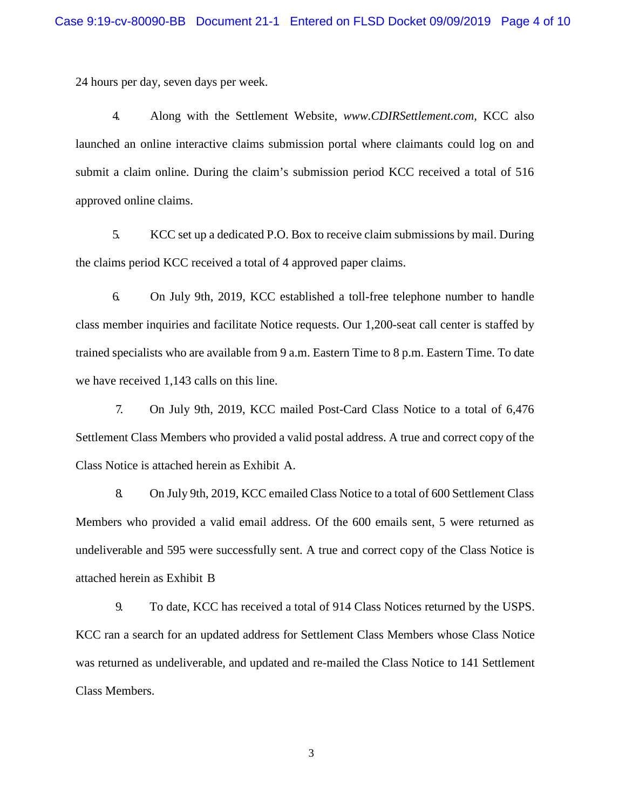24 hours per day, seven days per week.

4. Along with the Settlement Website, *www.CDIRSettlement.com,* KCC also launched an online interactive claims submission portal where claimants could log on and submit a claim online. During the claim's submission period KCC received a total of 516 approved online claims.

5. KCC set up a dedicated P.O. Box to receive claim submissions by mail. During the claims period KCC received a total of 4 approved paper claims.

6. On July 9th, 2019, KCC established a toll-free telephone number to handle class member inquiries and facilitate Notice requests. Our 1,200-seat call center is staffed by trained specialists who are available from 9 a.m. Eastern Time to 8 p.m. Eastern Time. To date we have received 1,143 calls on this line.

7. On July 9th, 2019, KCC mailed Post-Card Class Notice to a total of 6,476 Settlement Class Members who provided a valid postal address. A true and correct copy of the Class Notice is attached herein as Exhibit A.

8. On July 9th, 2019, KCC emailed Class Notice to a total of 600 Settlement Class Members who provided a valid email address. Of the 600 emails sent, 5 were returned as undeliverable and 595 were successfully sent. A true and correct copy of the Class Notice is attached herein as Exhibit B

9. To date, KCC has received a total of 914 Class Notices returned by the USPS. KCC ran a search for an updated address for Settlement Class Members whose Class Notice was returned as undeliverable, and updated and re-mailed the Class Notice to 141 Settlement Class Members.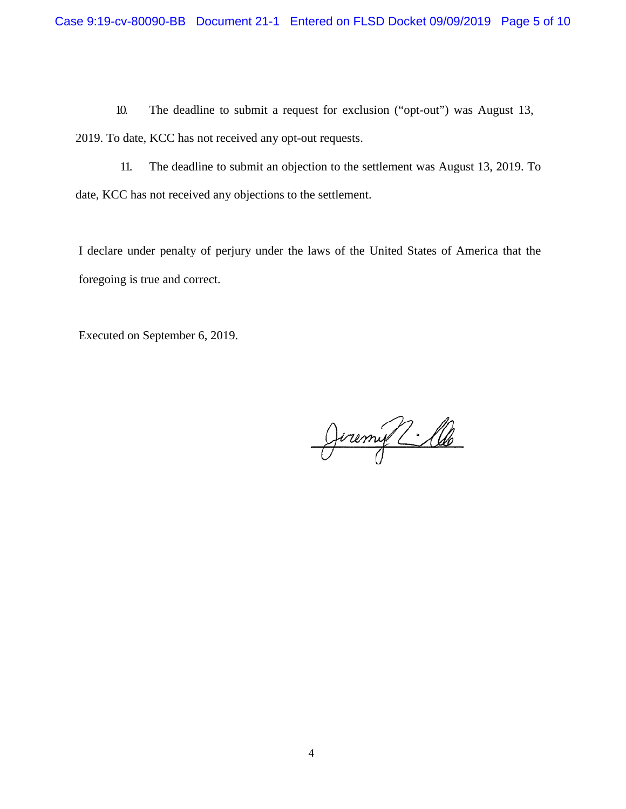10. The deadline to submit a request for exclusion ("opt-out") was August 13, 2019. To date, KCC has not received any opt-out requests.

11. The deadline to submit an objection to the settlement was August 13, 2019. To date, KCC has not received any objections to the settlement.

I declare under penalty of perjury under the laws of the United States of America that the foregoing is true and correct.

Executed on September 6, 2019.

Jeremy 2: lle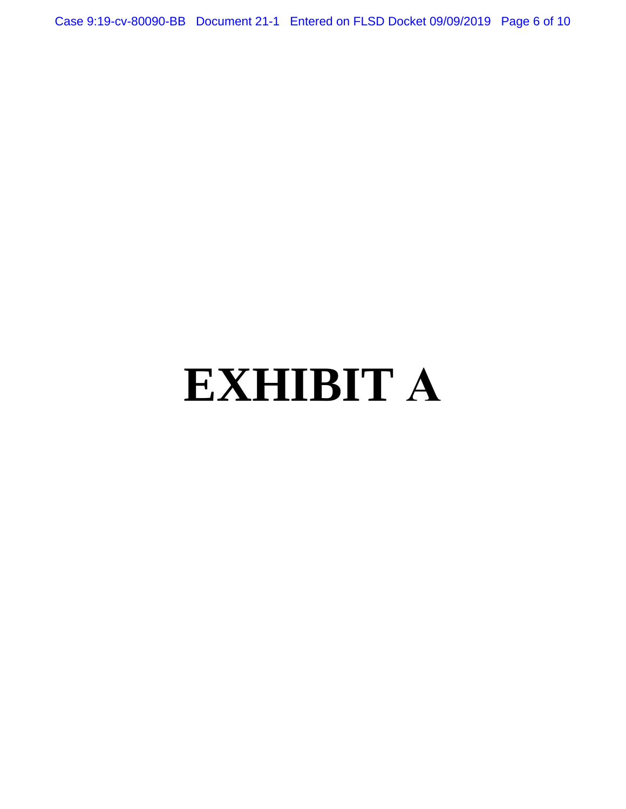Case 9:19-cv-80090-BB Document 21-1 Entered on FLSD Docket 09/09/2019 Page 6 of 10

# **EXHIBIT A**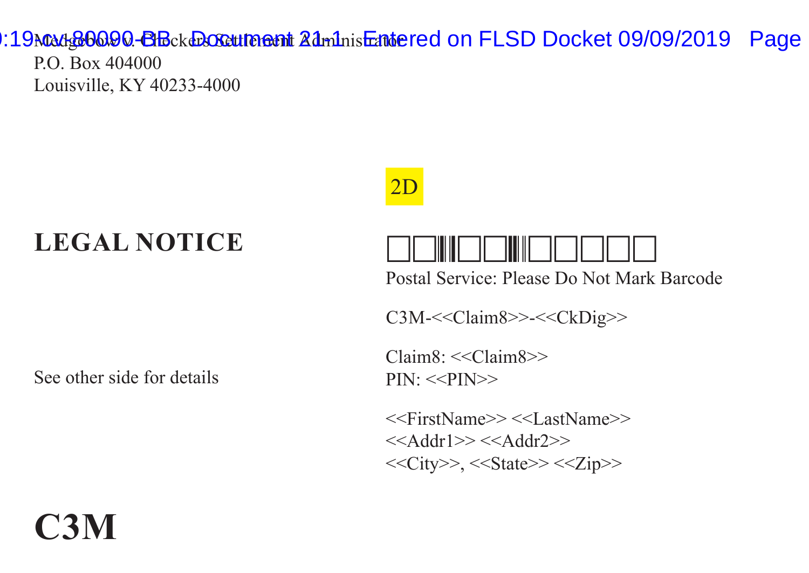:19Madg60090-BB ckcocute ant Administratored on FLSD Docket 09/09/2019 Page

P.O. Box 404000 Louisville, KY 40233-4000

# **LEGAL NOTICE**







Postal Service: Please Do Not Mark Barcode

C3M-<<Claim8>>-<<CkDig>>

Claim8: <<Claim8>>  $PIN:<>$ 

<<FirstName>> <<LastName>>  $<<$ Addr1 $>><<$ Addr2 $>>$ <<City>>, <<State>> <<Zip>>

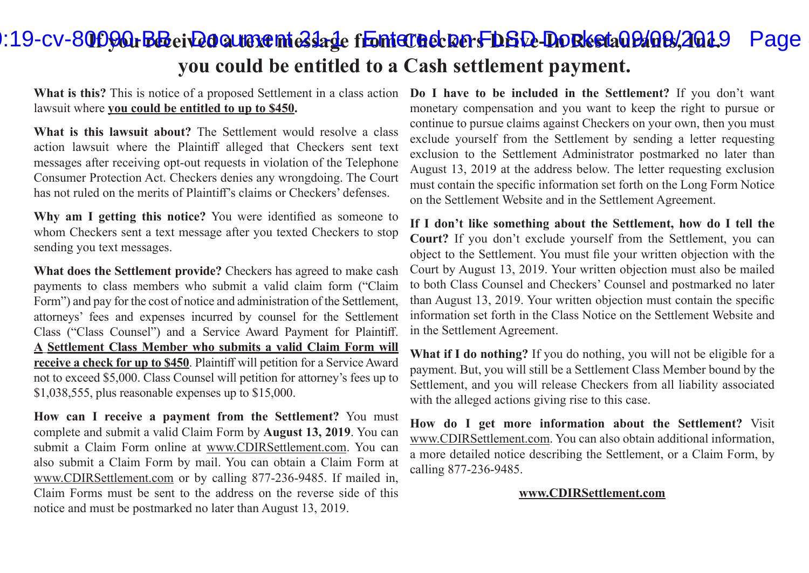# **II9-cv-80090. BB ei Q00 ware mieslage from Checkers DGQ-Do Resta09/09/2019** Page **you could be entitled to a Cash settlement payment.**

**What is this?** This is notice of a proposed Settlement in a class action lawsuit where **you could be entitled to up to \$450.**

**What is this lawsuit about?** The Settlement would resolve a class action lawsuit where the Plaintiff alleged that Checkers sent text messages after receiving opt-out requests in violation of the Telephone Consumer Protection Act. Checkers denies any wrongdoing. The Court has not ruled on the merits of Plaintiff's claims or Checkers' defenses.

**Why am I getting this notice?** You were identified as someone to whom Checkers sent a text message after you texted Checkers to stop sending you text messages.

**What does the Settlement provide?** Checkers has agreed to make cash payments to class members who submit a valid claim form ("Claim Form") and pay for the cost of notice and administration of the Settlement, attorneys' fees and expenses incurred by counsel for the Settlement Class ("Class Counsel") and a Service Award Payment for Plaintiff. **A Settlement Class Member who submits a valid Claim Form will receive a check for up to \$450**. Plaintiff will petition for a Service Award not to exceed \$5,000. Class Counsel will petition for attorney's fees up to \$1,038,555, plus reasonable expenses up to \$15,000.

**How can I receive a payment from the Settlement?** You must complete and submit a valid Claim Form by **August 13, 2019**. You can submit a Claim Form online at www.CDIRSettlement.com. You can also submit a Claim Form by mail. You can obtain a Claim Form at www.CDIRSettlement.com or by calling 877-236-9485. If mailed in, Claim Forms must be sent to the address on the reverse side of this notice and must be postmarked no later than August 13, 2019.

**Do I have to be included in the Settlement?** If you don't want monetary compensation and you want to keep the right to pursue or continue to pursue claims against Checkers on your own, then you must exclude yourself from the Settlement by sending a letter requesting exclusion to the Settlement Administrator postmarked no later than August 13, 2019 at the address below. The letter requesting exclusion must contain the specific information set forth on the Long Form Notice on the Settlement Website and in the Settlement Agreement.

**If I don't like something about the Settlement, how do I tell the Court?** If you don't exclude yourself from the Settlement, you can object to the Settlement. You must file your written objection with the Court by August 13, 2019. Your written objection must also be mailed to both Class Counsel and Checkers' Counsel and postmarked no later than August 13, 2019. Your written objection must contain the specific information set forth in the Class Notice on the Settlement Website and in the Settlement Agreement.

**What if I do nothing?** If you do nothing, you will not be eligible for a payment. But, you will still be a Settlement Class Member bound by the Settlement, and you will release Checkers from all liability associated with the alleged actions giving rise to this case.

**How do I get more information about the Settlement?** Visit www.CDIRSettlement.com. You can also obtain additional information, a more detailed notice describing the Settlement, or a Claim Form, by calling 877-236-9485.

#### **www.CDIRSettlement.com**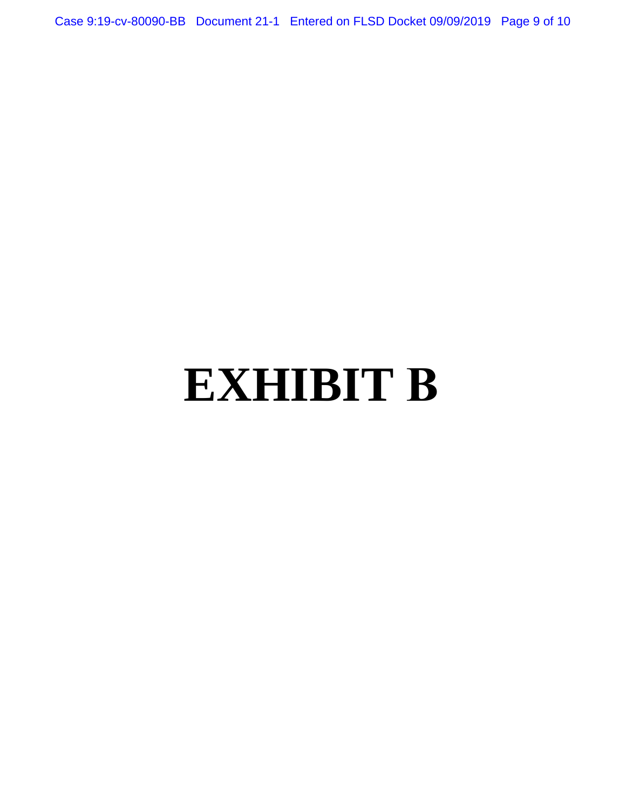Case 9:19-cv-80090-BB Document 21-1 Entered on FLSD Docket 09/09/2019 Page 9 of 10

# **EXHIBIT B**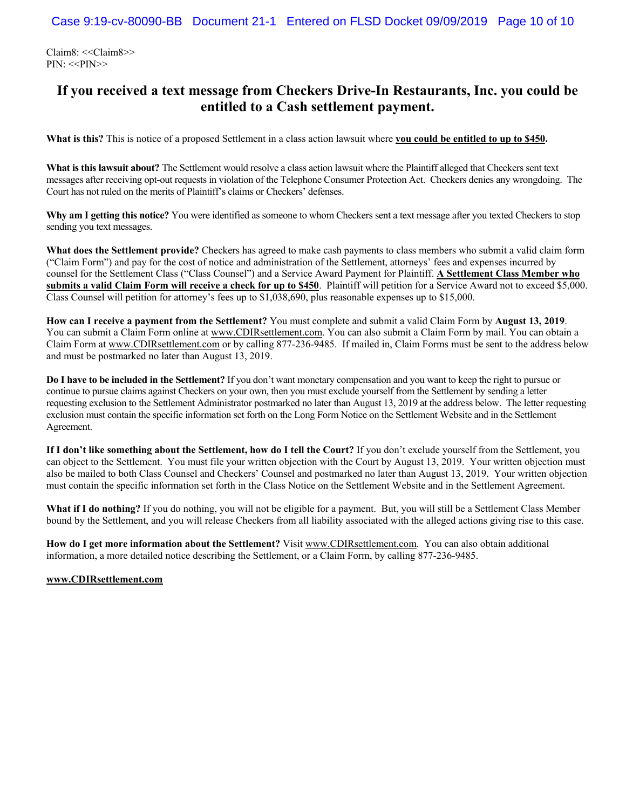Claim8: <<Claim8>> PIN: <<PIN>>

# **If you received a text message from Checkers Drive-In Restaurants, Inc. you could be entitled to a Cash settlement payment.**

**What is this?** This is notice of a proposed Settlement in a class action lawsuit where **you could be entitled to up to \$450.**

**What is this lawsuit about?** The Settlement would resolve a class action lawsuit where the Plaintiff alleged that Checkers sent text messages after receiving opt-out requests in violation of the Telephone Consumer Protection Act. Checkers denies any wrongdoing. The Court has not ruled on the merits of Plaintiff's claims or Checkers' defenses.

**Why am I getting this notice?** You were identified as someone to whom Checkers sent a text message after you texted Checkers to stop sending you text messages.

**What does the Settlement provide?** Checkers has agreed to make cash payments to class members who submit a valid claim form ("Claim Form") and pay for the cost of notice and administration of the Settlement, attorneys' fees and expenses incurred by counsel for the Settlement Class ("Class Counsel") and a Service Award Payment for Plaintiff. **A Settlement Class Member who submits a valid Claim Form will receive a check for up to \$450**. Plaintiff will petition for a Service Award not to exceed \$5,000. Class Counsel will petition for attorney's fees up to \$1,038,690, plus reasonable expenses up to \$15,000.

**How can I receive a payment from the Settlement?** You must complete and submit a valid Claim Form by **August 13, 2019**. You can submit a Claim Form online at www.CDIRsettlement.com. You can also submit a Claim Form by mail. You can obtain a Claim Form at www.CDIRsettlement.com or by calling 877-236-9485. If mailed in, Claim Forms must be sent to the address below and must be postmarked no later than August 13, 2019.

**Do I have to be included in the Settlement?** If you don't want monetary compensation and you want to keep the right to pursue or continue to pursue claims against Checkers on your own, then you must exclude yourself from the Settlement by sending a letter requesting exclusion to the Settlement Administrator postmarked no later than August 13, 2019 at the address below. The letter requesting exclusion must contain the specific information set forth on the Long Form Notice on the Settlement Website and in the Settlement Agreement.

**If I don't like something about the Settlement, how do I tell the Court?** If you don't exclude yourself from the Settlement, you can object to the Settlement. You must file your written objection with the Court by August 13, 2019. Your written objection must also be mailed to both Class Counsel and Checkers' Counsel and postmarked no later than August 13, 2019. Your written objection must contain the specific information set forth in the Class Notice on the Settlement Website and in the Settlement Agreement.

**What if I do nothing?** If you do nothing, you will not be eligible for a payment. But, you will still be a Settlement Class Member bound by the Settlement, and you will release Checkers from all liability associated with the alleged actions giving rise to this case.

**How do I get more information about the Settlement?** Visit www.CDIRsettlement.com. You can also obtain additional information, a more detailed notice describing the Settlement, or a Claim Form, by calling 877-236-9485.

#### **www.CDIRsettlement.com**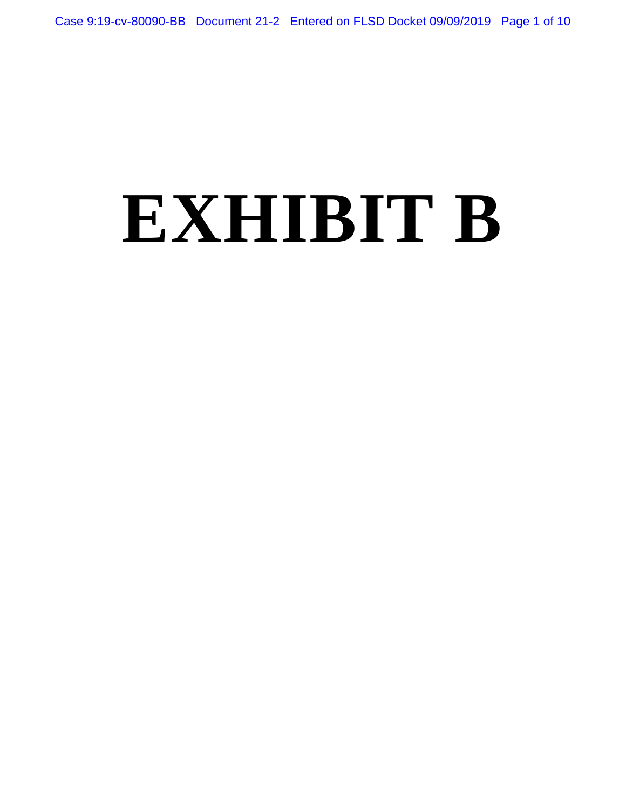# **EXHIBIT B**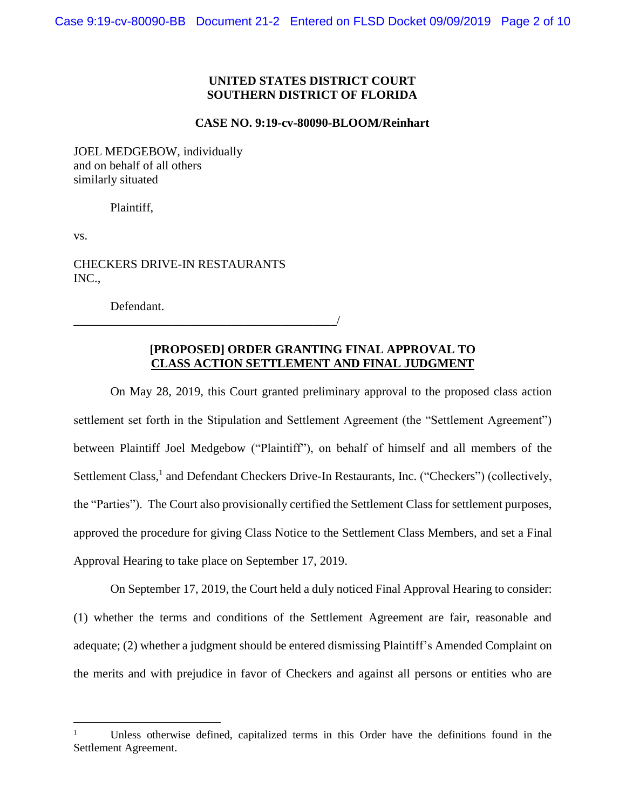# **UNITED STATES DISTRICT COURT SOUTHERN DISTRICT OF FLORIDA**

#### **CASE NO. 9:19-cv-80090-BLOOM/Reinhart**

JOEL MEDGEBOW, individually and on behalf of all others similarly situated

Plaintiff,

vs.

CHECKERS DRIVE-IN RESTAURANTS INC.,

\_\_\_\_\_\_\_\_\_\_\_\_\_\_\_\_\_\_\_\_\_\_\_\_\_\_\_\_\_\_\_\_\_\_\_\_\_\_\_\_\_\_\_/

Defendant.

# **[PROPOSED] ORDER GRANTING FINAL APPROVAL TO CLASS ACTION SETTLEMENT AND FINAL JUDGMENT**

On May 28, 2019, this Court granted preliminary approval to the proposed class action settlement set forth in the Stipulation and Settlement Agreement (the "Settlement Agreement") between Plaintiff Joel Medgebow ("Plaintiff"), on behalf of himself and all members of the Settlement Class,<sup>1</sup> and Defendant Checkers Drive-In Restaurants, Inc. ("Checkers") (collectively, the "Parties"). The Court also provisionally certified the Settlement Class for settlement purposes, approved the procedure for giving Class Notice to the Settlement Class Members, and set a Final Approval Hearing to take place on September 17, 2019.

On September 17, 2019, the Court held a duly noticed Final Approval Hearing to consider: (1) whether the terms and conditions of the Settlement Agreement are fair, reasonable and adequate; (2) whether a judgment should be entered dismissing Plaintiff's Amended Complaint on the merits and with prejudice in favor of Checkers and against all persons or entities who are

<sup>1</sup> Unless otherwise defined, capitalized terms in this Order have the definitions found in the Settlement Agreement.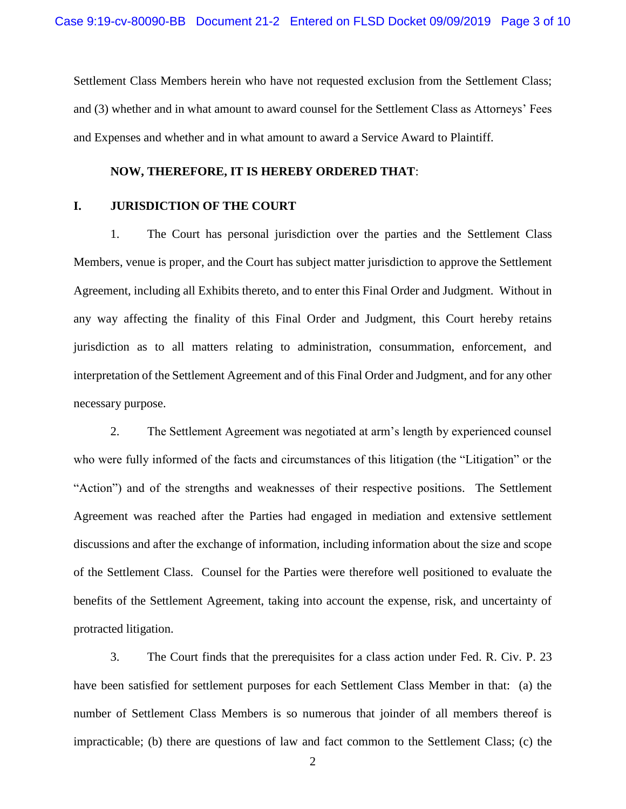Settlement Class Members herein who have not requested exclusion from the Settlement Class; and (3) whether and in what amount to award counsel for the Settlement Class as Attorneys' Fees and Expenses and whether and in what amount to award a Service Award to Plaintiff.

#### **NOW, THEREFORE, IT IS HEREBY ORDERED THAT**:

#### **I. JURISDICTION OF THE COURT**

1. The Court has personal jurisdiction over the parties and the Settlement Class Members, venue is proper, and the Court has subject matter jurisdiction to approve the Settlement Agreement, including all Exhibits thereto, and to enter this Final Order and Judgment. Without in any way affecting the finality of this Final Order and Judgment, this Court hereby retains jurisdiction as to all matters relating to administration, consummation, enforcement, and interpretation of the Settlement Agreement and of this Final Order and Judgment, and for any other necessary purpose.

2. The Settlement Agreement was negotiated at arm's length by experienced counsel who were fully informed of the facts and circumstances of this litigation (the "Litigation" or the "Action") and of the strengths and weaknesses of their respective positions. The Settlement Agreement was reached after the Parties had engaged in mediation and extensive settlement discussions and after the exchange of information, including information about the size and scope of the Settlement Class. Counsel for the Parties were therefore well positioned to evaluate the benefits of the Settlement Agreement, taking into account the expense, risk, and uncertainty of protracted litigation.

3. The Court finds that the prerequisites for a class action under Fed. R. Civ. P. 23 have been satisfied for settlement purposes for each Settlement Class Member in that: (a) the number of Settlement Class Members is so numerous that joinder of all members thereof is impracticable; (b) there are questions of law and fact common to the Settlement Class; (c) the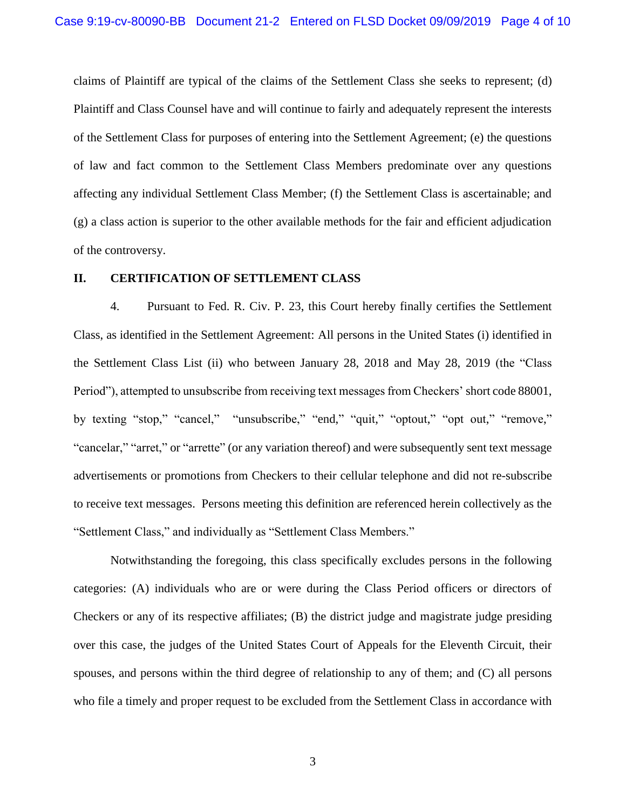claims of Plaintiff are typical of the claims of the Settlement Class she seeks to represent; (d) Plaintiff and Class Counsel have and will continue to fairly and adequately represent the interests of the Settlement Class for purposes of entering into the Settlement Agreement; (e) the questions of law and fact common to the Settlement Class Members predominate over any questions affecting any individual Settlement Class Member; (f) the Settlement Class is ascertainable; and (g) a class action is superior to the other available methods for the fair and efficient adjudication of the controversy.

# **II. CERTIFICATION OF SETTLEMENT CLASS**

4. Pursuant to Fed. R. Civ. P. 23, this Court hereby finally certifies the Settlement Class, as identified in the Settlement Agreement: All persons in the United States (i) identified in the Settlement Class List (ii) who between January 28, 2018 and May 28, 2019 (the "Class Period"), attempted to unsubscribe from receiving text messages from Checkers' short code 88001, by texting "stop," "cancel," "unsubscribe," "end," "quit," "optout," "opt out," "remove," "cancelar," "arret," or "arrette" (or any variation thereof) and were subsequently sent text message advertisements or promotions from Checkers to their cellular telephone and did not re-subscribe to receive text messages. Persons meeting this definition are referenced herein collectively as the "Settlement Class," and individually as "Settlement Class Members."

Notwithstanding the foregoing, this class specifically excludes persons in the following categories: (A) individuals who are or were during the Class Period officers or directors of Checkers or any of its respective affiliates; (B) the district judge and magistrate judge presiding over this case, the judges of the United States Court of Appeals for the Eleventh Circuit, their spouses, and persons within the third degree of relationship to any of them; and (C) all persons who file a timely and proper request to be excluded from the Settlement Class in accordance with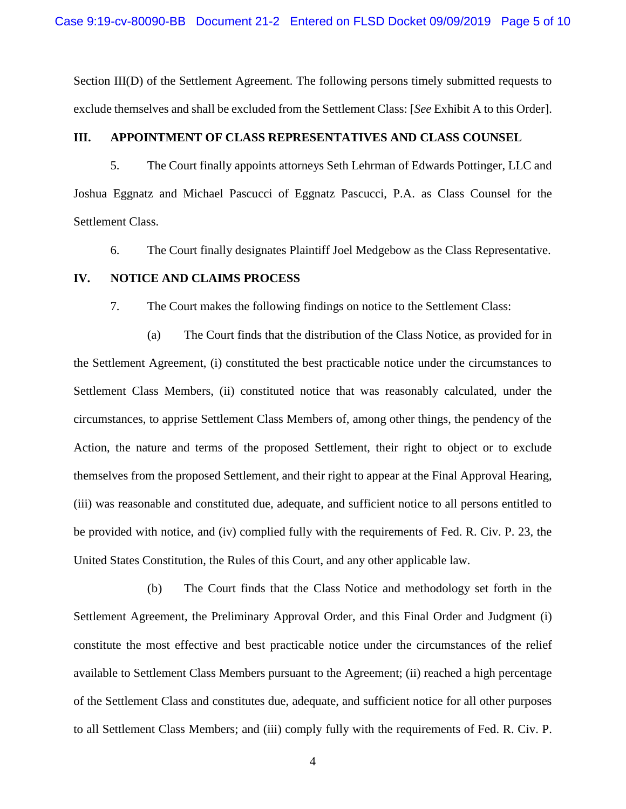Section III(D) of the Settlement Agreement. The following persons timely submitted requests to exclude themselves and shall be excluded from the Settlement Class: [*See* Exhibit A to this Order].

# **III. APPOINTMENT OF CLASS REPRESENTATIVES AND CLASS COUNSEL**

5. The Court finally appoints attorneys Seth Lehrman of Edwards Pottinger, LLC and Joshua Eggnatz and Michael Pascucci of Eggnatz Pascucci, P.A. as Class Counsel for the Settlement Class.

6. The Court finally designates Plaintiff Joel Medgebow as the Class Representative.

#### **IV. NOTICE AND CLAIMS PROCESS**

7. The Court makes the following findings on notice to the Settlement Class:

(a) The Court finds that the distribution of the Class Notice, as provided for in the Settlement Agreement, (i) constituted the best practicable notice under the circumstances to Settlement Class Members, (ii) constituted notice that was reasonably calculated, under the circumstances, to apprise Settlement Class Members of, among other things, the pendency of the Action, the nature and terms of the proposed Settlement, their right to object or to exclude themselves from the proposed Settlement, and their right to appear at the Final Approval Hearing, (iii) was reasonable and constituted due, adequate, and sufficient notice to all persons entitled to be provided with notice, and (iv) complied fully with the requirements of Fed. R. Civ. P. 23, the United States Constitution, the Rules of this Court, and any other applicable law.

(b) The Court finds that the Class Notice and methodology set forth in the Settlement Agreement, the Preliminary Approval Order, and this Final Order and Judgment (i) constitute the most effective and best practicable notice under the circumstances of the relief available to Settlement Class Members pursuant to the Agreement; (ii) reached a high percentage of the Settlement Class and constitutes due, adequate, and sufficient notice for all other purposes to all Settlement Class Members; and (iii) comply fully with the requirements of Fed. R. Civ. P.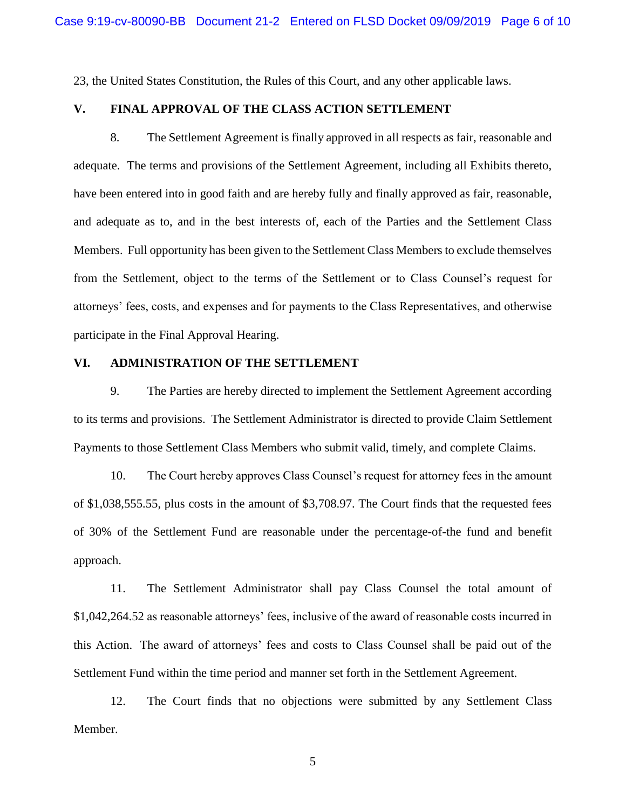23, the United States Constitution, the Rules of this Court, and any other applicable laws.

# **V. FINAL APPROVAL OF THE CLASS ACTION SETTLEMENT**

8. The Settlement Agreement is finally approved in all respects as fair, reasonable and adequate. The terms and provisions of the Settlement Agreement, including all Exhibits thereto, have been entered into in good faith and are hereby fully and finally approved as fair, reasonable, and adequate as to, and in the best interests of, each of the Parties and the Settlement Class Members. Full opportunity has been given to the Settlement Class Members to exclude themselves from the Settlement, object to the terms of the Settlement or to Class Counsel's request for attorneys' fees, costs, and expenses and for payments to the Class Representatives, and otherwise participate in the Final Approval Hearing.

# **VI. ADMINISTRATION OF THE SETTLEMENT**

9. The Parties are hereby directed to implement the Settlement Agreement according to its terms and provisions. The Settlement Administrator is directed to provide Claim Settlement Payments to those Settlement Class Members who submit valid, timely, and complete Claims.

10. The Court hereby approves Class Counsel's request for attorney fees in the amount of \$1,038,555.55, plus costs in the amount of \$3,708.97. The Court finds that the requested fees of 30% of the Settlement Fund are reasonable under the percentage-of-the fund and benefit approach.

11. The Settlement Administrator shall pay Class Counsel the total amount of \$1,042,264.52 as reasonable attorneys' fees, inclusive of the award of reasonable costs incurred in this Action. The award of attorneys' fees and costs to Class Counsel shall be paid out of the Settlement Fund within the time period and manner set forth in the Settlement Agreement.

12. The Court finds that no objections were submitted by any Settlement Class Member.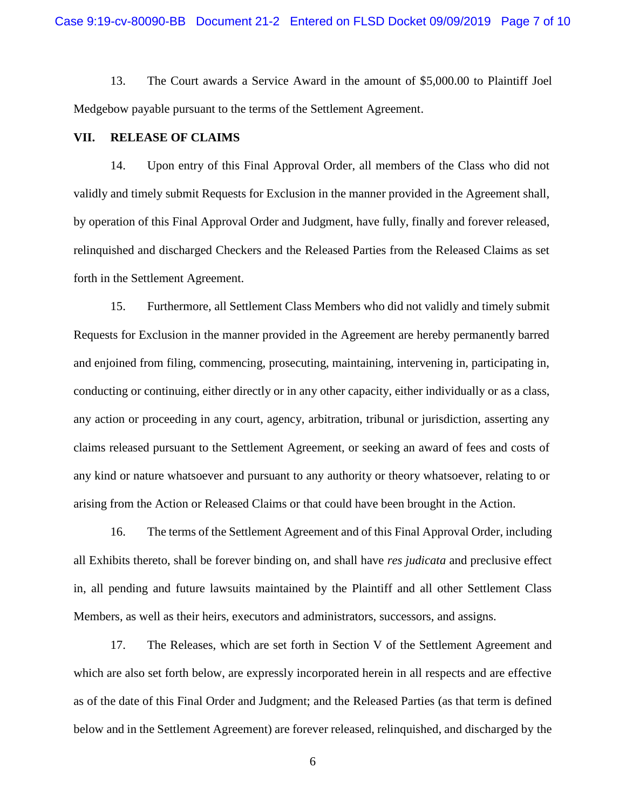13. The Court awards a Service Award in the amount of \$5,000.00 to Plaintiff Joel Medgebow payable pursuant to the terms of the Settlement Agreement.

#### **VII. RELEASE OF CLAIMS**

14. Upon entry of this Final Approval Order, all members of the Class who did not validly and timely submit Requests for Exclusion in the manner provided in the Agreement shall, by operation of this Final Approval Order and Judgment, have fully, finally and forever released, relinquished and discharged Checkers and the Released Parties from the Released Claims as set forth in the Settlement Agreement.

15. Furthermore, all Settlement Class Members who did not validly and timely submit Requests for Exclusion in the manner provided in the Agreement are hereby permanently barred and enjoined from filing, commencing, prosecuting, maintaining, intervening in, participating in, conducting or continuing, either directly or in any other capacity, either individually or as a class, any action or proceeding in any court, agency, arbitration, tribunal or jurisdiction, asserting any claims released pursuant to the Settlement Agreement, or seeking an award of fees and costs of any kind or nature whatsoever and pursuant to any authority or theory whatsoever, relating to or arising from the Action or Released Claims or that could have been brought in the Action.

16. The terms of the Settlement Agreement and of this Final Approval Order, including all Exhibits thereto, shall be forever binding on, and shall have *res judicata* and preclusive effect in, all pending and future lawsuits maintained by the Plaintiff and all other Settlement Class Members, as well as their heirs, executors and administrators, successors, and assigns.

17. The Releases, which are set forth in Section V of the Settlement Agreement and which are also set forth below, are expressly incorporated herein in all respects and are effective as of the date of this Final Order and Judgment; and the Released Parties (as that term is defined below and in the Settlement Agreement) are forever released, relinquished, and discharged by the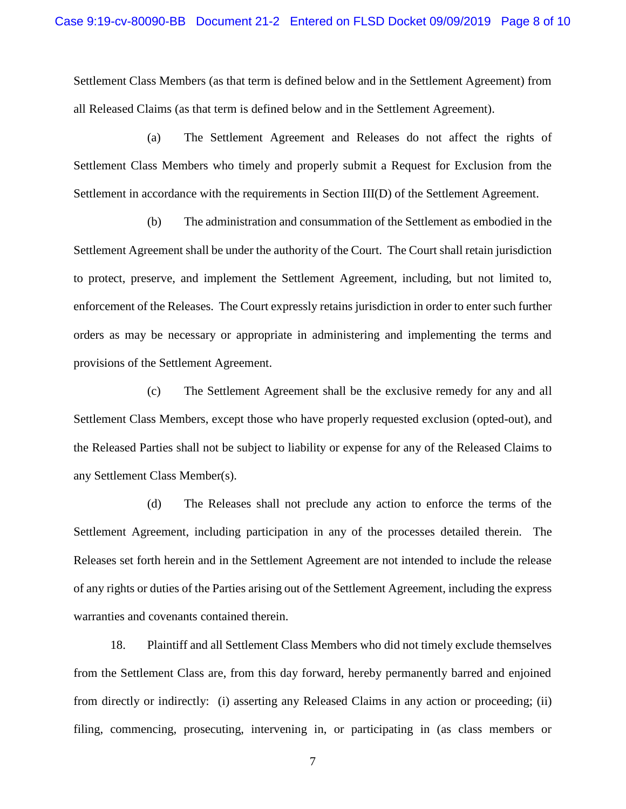Settlement Class Members (as that term is defined below and in the Settlement Agreement) from all Released Claims (as that term is defined below and in the Settlement Agreement).

(a) The Settlement Agreement and Releases do not affect the rights of Settlement Class Members who timely and properly submit a Request for Exclusion from the Settlement in accordance with the requirements in Section III(D) of the Settlement Agreement.

(b) The administration and consummation of the Settlement as embodied in the Settlement Agreement shall be under the authority of the Court. The Court shall retain jurisdiction to protect, preserve, and implement the Settlement Agreement, including, but not limited to, enforcement of the Releases. The Court expressly retains jurisdiction in order to enter such further orders as may be necessary or appropriate in administering and implementing the terms and provisions of the Settlement Agreement.

(c) The Settlement Agreement shall be the exclusive remedy for any and all Settlement Class Members, except those who have properly requested exclusion (opted-out), and the Released Parties shall not be subject to liability or expense for any of the Released Claims to any Settlement Class Member(s).

(d) The Releases shall not preclude any action to enforce the terms of the Settlement Agreement, including participation in any of the processes detailed therein. The Releases set forth herein and in the Settlement Agreement are not intended to include the release of any rights or duties of the Parties arising out of the Settlement Agreement, including the express warranties and covenants contained therein.

18. Plaintiff and all Settlement Class Members who did not timely exclude themselves from the Settlement Class are, from this day forward, hereby permanently barred and enjoined from directly or indirectly: (i) asserting any Released Claims in any action or proceeding; (ii) filing, commencing, prosecuting, intervening in, or participating in (as class members or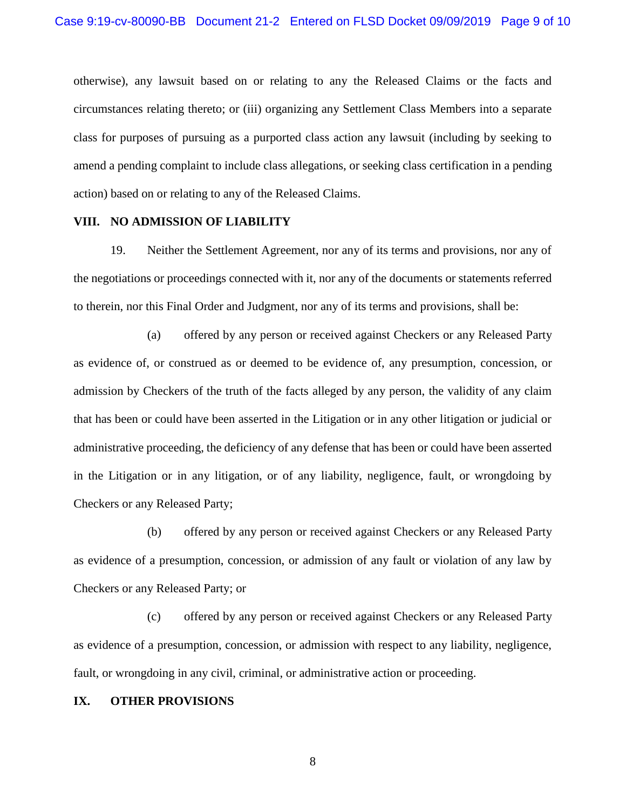otherwise), any lawsuit based on or relating to any the Released Claims or the facts and circumstances relating thereto; or (iii) organizing any Settlement Class Members into a separate class for purposes of pursuing as a purported class action any lawsuit (including by seeking to amend a pending complaint to include class allegations, or seeking class certification in a pending action) based on or relating to any of the Released Claims.

# **VIII. NO ADMISSION OF LIABILITY**

19. Neither the Settlement Agreement, nor any of its terms and provisions, nor any of the negotiations or proceedings connected with it, nor any of the documents or statements referred to therein, nor this Final Order and Judgment, nor any of its terms and provisions, shall be:

(a) offered by any person or received against Checkers or any Released Party as evidence of, or construed as or deemed to be evidence of, any presumption, concession, or admission by Checkers of the truth of the facts alleged by any person, the validity of any claim that has been or could have been asserted in the Litigation or in any other litigation or judicial or administrative proceeding, the deficiency of any defense that has been or could have been asserted in the Litigation or in any litigation, or of any liability, negligence, fault, or wrongdoing by Checkers or any Released Party;

(b) offered by any person or received against Checkers or any Released Party as evidence of a presumption, concession, or admission of any fault or violation of any law by Checkers or any Released Party; or

(c) offered by any person or received against Checkers or any Released Party as evidence of a presumption, concession, or admission with respect to any liability, negligence, fault, or wrongdoing in any civil, criminal, or administrative action or proceeding.

## **IX. OTHER PROVISIONS**